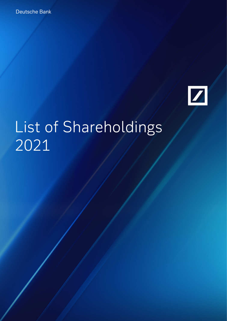

# List of Shareholdings 2021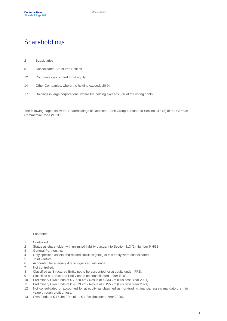## Shareholdings

- Subsidiaries
- Consolidated Structured Entities
- Companies accounted for at equity
- Other Companies, where the holding exceeds 20 %
- Holdings in large corporations, where the holding exceeds 5 % of the voting rights

The following pages show the Shareholdings of Deutsche Bank Group pursuant to Section 313 (2) of the German Commercial Code ("HGB").

Footnotes:

- Controlled.
- Status as shareholder with unlimited liability pursuant to Section 313 (2) Number 6 HGB.
- General Partnership.
- Only specified assets and related liabilities (silos) of this entity were consolidated.
- Joint venture.
- Accounted for at equity due to significant influence.
- Not controlled.
- Classified as Structured Entity not to be accounted for at equity under IFRS.
- Classified as Structured Entity not to be consolidated under IFRS.
- Preliminary Own funds of € 7,720.4m / Result of € 333.2m (Business Year 2021).
- Preliminary Own funds of € 9,679.2m / Result of € 155.7m (Business Year 2021).
- Not consolidated or accounted for at equity as classified as non-trading financial assets mandatory at fair value through profit or loss.
- Own funds of € 17.4m / Result of € 1.8m (Business Year 2020).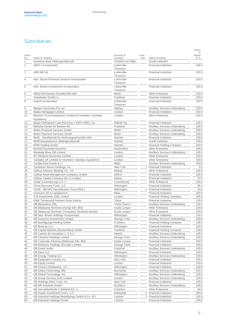#### **Subsidiaries**

|                |                                                                            |                             |                |                                                                                | Share                 |
|----------------|----------------------------------------------------------------------------|-----------------------------|----------------|--------------------------------------------------------------------------------|-----------------------|
| Serial<br>No.  | Name of company                                                            | Domicile of<br>company      | Foot-<br>note  | Nature of activity                                                             | of<br>Capital<br>in % |
| 1              | Deutsche Bank Aktiengesellschaft                                           | Frankfurt am Main           |                | <b>Credit Institution</b>                                                      |                       |
| $\overline{c}$ | <b>ABFS I Incorporated</b>                                                 | Lutherville-<br>Timonium    |                | <b>Financial Institution</b>                                                   | 100.0                 |
| 3              | ABS MB Ltd.                                                                | Lutherville-<br>Timonium    |                | <b>Financial Institution</b>                                                   | 100.0                 |
| 4              | Alex. Brown Financial Services Incorporated                                | Lutherville-<br>Timonium    |                | <b>Financial Institution</b>                                                   | 100.0                 |
| 5              | Alex. Brown Investments Incorporated                                       | Lutherville-<br>Timonium    |                | <b>Financial Institution</b>                                                   | 100.0                 |
| 6              | Alfred Herrhausen Gesellschaft mbH                                         | <b>Berlin</b>               |                | Other Enterprise                                                               | 100.0                 |
| 7              | Ambidexter GmbH i.L.                                                       | Frankfurt                   |                | Payment Institution                                                            | 100.0                 |
| 8              | Argent Incorporated                                                        | Lutherville-<br>Timonium    |                | <b>Financial Institution</b>                                                   | 100.0                 |
| 9              | Bainpro Nominees Pty Ltd                                                   | Sydney                      |                | <b>Ancillary Services Undertaking</b>                                          | 100.0                 |
| 10             | <b>Baldur Mortgages Limited</b>                                            | London                      |                | <b>Financial Institution</b>                                                   | 100.0                 |
| 11             | Bankers Trust Investments Limited (in members' voluntary<br>liquidation)   | London                      |                | Other Enterprise                                                               | 100.0                 |
| 12             | Bayan Delinquent Loan Recovery 1 (SPV-AMC), Inc.                           | Makati City                 |                | <b>Financial Institution</b>                                                   | 100.0                 |
| 13             | Betriebs-Center für Banken AG                                              | Frankfurt                   |                | <b>Ancillary Services Undertaking</b>                                          | 100.0                 |
| 14             | <b>Better Financial Services GmbH</b>                                      | <b>Berlin</b>               |                | <b>Ancillary Services Undertaking</b>                                          | 100.0                 |
| 15             | Better Payment Germany GmbH                                                | <b>Berlin</b>               |                | <b>Ancillary Services Undertaking</b>                                          | 100.0                 |
| 16             | BHW - Gesellschaft für Wohnungswirtschaft mbH                              | Hameln                      |                | <b>Financial Institution</b>                                                   | 100.0                 |
| 17             | <b>BHW Bausparkasse Aktiengesellschaft</b>                                 | Hameln                      |                | Credit Institution                                                             | 100.0                 |
| 18             | <b>BHW Holding GmbH</b>                                                    | Hameln                      |                | <b>Financial Holding Company</b>                                               | 100.0                 |
| 19             | Borfield Sociedad Anonima                                                  | Montevideo                  |                | Other Enterprise                                                               | 100.0                 |
| 20             | <b>Breaking Wave DB Limited</b>                                            | London                      |                | <b>Ancillary Services Undertaking</b>                                          | 100.0                 |
| 21             | <b>BT Globenet Nominees Limited</b>                                        | London                      |                | Other Enterprise                                                               | 100.0                 |
| 22             | Cardales UK Limited (in members' voluntary liquidation)                    | London<br>Milan             |                | Other Enterprise                                                               | 100.0                 |
| 23<br>24       | Cardea Real Estate S.r.l.<br>Caribbean Resort Holdings, Inc.               | New York                    | 1              | <b>Ancillary Services Undertaking</b><br><b>Financial Institution</b>          | 100.0<br>0.0          |
| 25             | Cathay Advisory (Beijing) Co., Ltd.                                        | Beijing                     |                | <b>Other Enterprise</b>                                                        | 100.0                 |
| 26             | Cathay Asset Management Company Limited                                    | Ebène                       |                | <b>Financial Institution</b>                                                   | 100.0                 |
| 27             | Cathay Capital Company (No 2) Limited                                      | Ebène                       |                | <b>Financial Institution</b>                                                   | 67.6                  |
| 28             | Cedar (Luxembourg) S.à r.l.                                                | Luxembourg                  |                | <b>Other Enterprise</b>                                                        | 100.0                 |
| 29             | China Recovery Fund, LLC                                                   | Wilmington                  |                | <b>Financial Institution</b>                                                   | 85.0                  |
| 30             | Cinda - DB NPL Securitization Trust 2003-1                                 | Wilmington                  | 1              | <b>Financial Institution</b>                                                   | 10.0                  |
| 31             | Consumo Srl in Liquidazione                                                | Milan                       |                | <b>Financial Institution</b>                                                   | 100.0                 |
| 32             | D B Investments (GB) Limited                                               | London                      |                | <b>Financial Holding Company</b>                                               | 100.0                 |
| 33             | D&M Turnaround Partners Godo Kaisha                                        | Tokyo                       |                | <b>Financial Institution</b>                                                   | 100.0                 |
| 34             | DB (Barbados) SRL                                                          | Christ Church               |                | <b>Ancillary Services Undertaking</b>                                          | 100.0                 |
| 35             | DB (Malaysia) Nominee (Asing) Sdn. Bhd.                                    | Kuala Lumpur                |                | Other Enterprise                                                               | 100.0                 |
| 36             | DB (Malaysia) Nominee (Tempatan) Sendirian Berhad                          | Kuala Lumpur                |                | Other Enterprise                                                               | 100.0                 |
| 37             | DB Alex. Brown Holdings Incorporated                                       | Wilmington                  |                | <b>Financial Institution</b>                                                   | 100.0                 |
| 38             | DB Aotearoa Investments Limited                                            | George Town                 |                | Ancillary Services Undertaking                                                 | 100.0                 |
| 39             | DB Beteiligungs-Holding GmbH                                               | Frankfurt                   |                | <b>Financial Holding Company</b>                                               | 100.0                 |
| 40             | <b>DB Boracay LLC</b>                                                      | Wilmington                  |                | <b>Financial Institution</b>                                                   | 100.0                 |
| 41             | DB Capital Markets (Deutschland) GmbH                                      | Frankfurt                   |                | <b>Financial Holding Company</b>                                               | 100.0                 |
| 42             | DB Cartera de Inmuebles 1, S.A.U.                                          | Madrid                      |                | <b>Ancillary Services Undertaking</b><br><b>Ancillary Services Undertaking</b> | 100.0                 |
| 43<br>44       | DB Chestnut Holdings Limited<br>DB Corporate Advisory (Malaysia) Sdn. Bhd. | George Town<br>Kuala Lumpur |                | <b>Financial Institution</b>                                                   | 100.0<br>100.0        |
| 45             | DB Delaware Holdings (Europe) Limited                                      | George Town                 |                | <b>Financial Institution</b>                                                   | 100.0                 |
| 46             | <b>DB Direkt GmbH</b>                                                      | Frankfurt                   |                | Ancillary Services Undertaking                                                 | 100.0                 |
| 47             | DB Elara LLC                                                               | Wilmington                  |                | <b>Financial Institution</b>                                                   | 100.0                 |
| 48             | <b>DB Energy Trading LLC</b>                                               | Wilmington                  |                | <b>Ancillary Services Undertaking</b>                                          | 100.0                 |
| 49             | DB Equipment Leasing, Inc.                                                 | New York                    |                | <b>Financial Institution</b>                                                   | 100.0                 |
| 50             | <b>DB Equity Limited</b>                                                   | London                      |                | <b>Financial Institution</b>                                                   | 100.0                 |
| 51             | DB Finance (Delaware), LLC                                                 | Wilmington                  |                | <b>Financial Institution</b>                                                   | 100.0                 |
| 52             | DB Global Technology SRL                                                   | <b>Bucharest</b>            |                | Ancillary Services Undertaking                                                 | 100.0                 |
| 53             | DB Global Technology, Inc.                                                 | Wilmington                  |                | Ancillary Services Undertaking                                                 | 100.0                 |
| 54             | DB Group Services (UK) Limited                                             | London                      |                | Ancillary Services Undertaking                                                 | 100.0                 |
| 55             | DB Holdings (New York), Inc.                                               | New York                    |                | Financial Institution                                                          | 100.0                 |
| 56             | DB HR Solutions GmbH                                                       | Eschborn                    |                | Ancillary Services Undertaking                                                 | 100.0                 |
| 57             | DB Immobilienfonds 5 Wieland KG i.L.                                       | Frankfurt                   |                | Other Enterprise                                                               | 93.6                  |
| 58             | DB Impact Investment Fund I, L.P.                                          | Edinburgh                   | 2              | <b>Financial Institution</b>                                                   | 100.0                 |
| 59             | DB Industrial Holdings Beteiligungs GmbH & Co. KG                          | Luetzen                     | $\overline{2}$ | <b>Financial Institution</b>                                                   | 100.0                 |
| 60             | DB Industrial Holdings GmbH                                                | Luetzen                     |                | <b>Financial Institution</b>                                                   | 100.0                 |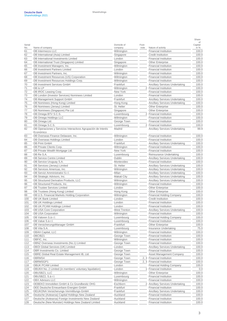|            |                                                                         |              |                |                                       | Share         |
|------------|-------------------------------------------------------------------------|--------------|----------------|---------------------------------------|---------------|
| Serial     |                                                                         | Domicile of  | Foot-          |                                       | οf<br>Capital |
| No.        | Name of company                                                         | company      | note           | Nature of activity                    | in %          |
| 61         | DB Intermezzo LLC                                                       | Wilmington   |                | <b>Financial Institution</b>          | 100.0         |
| 62         | DB International (Asia) Limited                                         | Singapore    |                | <b>Credit Institution</b>             | 100.0         |
| 63         | DB International Investments Limited                                    | London       |                | <b>Financial Institution</b>          | 100.0         |
| 64         | DB International Trust (Singapore) Limited                              | Singapore    |                | <b>Other Enterprise</b>               | 100.0         |
| 65         | DB Investment Managers, Inc.                                            | Wilmington   |                | <b>Financial Institution</b>          | 100.0         |
| 66         | <b>DB Investment Partners Limited</b>                                   | London       |                | <b>Financial Institution</b>          | 100.0         |
| 67         | DB Investment Partners, Inc.                                            | Wilmington   |                | <b>Financial Institution</b>          | 100.0         |
| 68         | DB Investment Resources (US) Corporation                                | Wilmington   |                | <b>Financial Institution</b>          | 100.0         |
| 69         | DB Investment Resources Holdings Corp.                                  | Wilmington   |                | <b>Financial Institution</b>          | 100.0         |
| 70         | DB Investment Services GmbH                                             | Frankfurt    |                | <b>Ancillary Services Undertaking</b> | 100.0         |
| 71         | DB Io LP                                                                | Wilmington   | $\overline{2}$ | <b>Financial Institution</b>          | 100.0         |
| 72         | DB IROC Leasing Corp.                                                   | New York     |                | <b>Financial Institution</b>          | 100.0         |
| 73         | DB London (Investor Services) Nominees Limited                          | London       |                | <b>Financial Institution</b>          | 100.0         |
| 74         | DB Management Support GmbH                                              | Frankfurt    |                | <b>Ancillary Services Undertaking</b> | 100.0         |
| 75         | DB Nominees (Hong Kong) Limited                                         | Hong Kong    |                | <b>Ancillary Services Undertaking</b> | 100.0         |
| 76         | DB Nominees (Jersey) Limited                                            | St. Helier   |                | <b>Other Enterprise</b>               | 100.0         |
| 77         | DB Nominees (Singapore) Pte Ltd                                         | Singapore    |                | <b>Other Enterprise</b>               | 100.0         |
| 78         | DB Omega BTV S.C.S.                                                     | Luxembourg   | $\overline{2}$ | <b>Financial Institution</b>          | 100.0         |
| 79         | DB Omega Holdings LLC                                                   | Wilmington   |                | <b>Financial Institution</b>          | 100.0         |
| 80         | DB Omega Ltd.                                                           | George Town  |                | <b>Financial Institution</b>          | 100.0         |
| 81         | DB Omega S.C.S.                                                         | Luxembourg   |                | 2 Financial Institution               | 100.0         |
| 82         | DB Operaciones y Servicios Interactivos Agrupación de Interés           | Madrid       |                | <b>Ancillary Services Undertaking</b> | 99.9          |
|            | Económico                                                               |              |                |                                       |               |
| 83         | DB Overseas Finance Delaware, Inc.                                      | Wilmington   |                | <b>Financial Institution</b>          | 100.0         |
| 84         | DB Overseas Holdings Limited                                            | London       |                | <b>Financial Institution</b>          | 100.0         |
| 85         | <b>DB Print GmbH</b>                                                    | Frankfurt    |                | Ancillary Services Undertaking        | 100.0         |
| 86         | DB Private Clients Corp.                                                | Wilmington   |                | <b>Financial Institution</b>          | 100.0         |
| 87         | DB Private Wealth Mortgage Ltd.                                         | New York     |                | <b>Financial Institution</b>          | 100.0         |
| 88         | DB Re S.A.                                                              | Luxembourg   |                | Reinsurance Undertaking               | 100.0         |
| 89         | <b>DB Service Centre Limited</b>                                        | Dublin       |                | <b>Ancillary Services Undertaking</b> | 100.0         |
| 90         | DB Service Uruguay S.A.                                                 | Montevideo   |                | <b>Financial Institution</b>          | 100.0         |
| 91         | DB Services (Jersey) Limited                                            | St. Helier   |                | <b>Ancillary Services Undertaking</b> | 100.0         |
| 92         | DB Services Americas, Inc.                                              | Wilmington   |                | <b>Ancillary Services Undertaking</b> | 100.0         |
| 93         | DB Servizi Amministrativi S.r.l.                                        | Milan        |                | <b>Ancillary Services Undertaking</b> | 100.0         |
| 94         | DB Strategic Advisors, Inc.                                             | Makati City  |                | <b>Ancillary Services Undertaking</b> | 100.0         |
| 95         | DB Structured Derivative Products, LLC                                  | Wilmington   |                | <b>Ancillary Services Undertaking</b> | 100.0         |
| 96         | DB Structured Products, Inc.                                            | Wilmington   |                | <b>Financial Institution</b>          | 100.0         |
| 97         | <b>DB Trustee Services Limited</b>                                      | London       |                | <b>Other Enterprise</b>               | 100.0         |
| 98         | DB Trustees (Hong Kong) Limited                                         | Hong Kong    |                | <b>Other Enterprise</b>               | 100.0         |
| 99         | DB U.S. Financial Markets Holding Corporation                           | Wilmington   |                | <b>Financial Holding Company</b>      | 100.0         |
| 100        | <b>DB UK Bank Limited</b>                                               | London       |                | <b>Credit Institution</b>             | 100.0         |
| 101        | <b>DB UK Holdings Limited</b>                                           | London       |                | <b>Financial Institution</b>          | 100.0         |
| 102        | DB UK PCAM Holdings Limited                                             | London       |                | <b>Financial Institution</b>          | 100.0         |
| 103        | DB USA Core Corporation                                                 | West Trenton |                | Ancillary Services Undertaking        | 100.0         |
| 104        | DB USA Corporation                                                      | Wilmington   |                | Financial Institution                 | 100.0         |
| 105        | DB Valoren S.à r.l.                                                     | Luxembourg   |                | <b>Financial Holding Company</b>      | 100.0         |
| 106        | DB Value S.à r.l.                                                       | Luxembourg   |                | <b>Financial Institution</b>          | 100.0         |
| 107        | DB VersicherungsManager GmbH                                            | Frankfurt    |                | Other Enterprise                      | 100.0         |
| 108        | DB Vita S.A.                                                            | Luxembourg   |                | Insurance Undertaking                 | 75.0          |
| 109        | DBAH Capital, LLC                                                       | Wilmington   |                | <b>Financial Institution</b>          | 100.0         |
| 110        | DBCIBZ1                                                                 | George Town  |                | <b>Financial Institution</b>          | 100.0         |
| 111        | DBFIC, Inc.                                                             | Wilmington   |                | <b>Financial Institution</b>          | 100.0         |
| 112        | DBNZ Overseas Investments (No.1) Limited                                | George Town  |                | <b>Financial Institution</b>          | 100.0         |
| 113        | DBOI Global Services (UK) Limited                                       | London       |                | Ancillary Services Undertaking        | 100.0         |
| 114        | DBR Investments Co. Limited                                             | George Town  |                | <b>Financial Institution</b>          | 100.0         |
| 115        | DBRE Global Real Estate Management IB, Ltd.                             | George Town  |                | Asset Management Company              | 100.0         |
| 116        | DBRMS4                                                                  | George Town  | 2, 3           | <b>Financial Institution</b>          | 100.0         |
| 117        | DBRMSGP1                                                                | George Town  |                | 2, 3 Financial Institution            | 100.0         |
| 118        | <b>DBUK PCAM Limited</b>                                                | London       |                | <b>Financial Holding Company</b>      | 100.0         |
|            |                                                                         | London       |                | <b>Financial Institution</b>          | 0.0           |
| 119<br>120 | DBUKH No. 2 Limited (in members' voluntary liquidation)<br>DBUSBZ1, LLC | Wilmington   |                | <b>Other Enterprise</b>               | 100.0         |
|            |                                                                         |              |                |                                       | 100.0         |
| 121        | DBUSBZ2, S.à r.l.                                                       | Luxembourg   |                | <b>Financial Institution</b>          |               |
| 122        | <b>DBX Advisors LLC</b>                                                 | Wilmington   |                | <b>Financial Institution</b>          | 100.0         |
| 123        | DEBEKO Immobilien GmbH & Co Grundbesitz OHG                             | Eschborn     |                | 2 Ancillary Services Undertaking      | 100.0         |
| 124        | DEE Deutsche Erneuerbare Energien GmbH                                  | Frankfurt    |                | <b>Financial Institution</b>          | 100.0         |
| 125        | DEUKONA Versicherungs-Vermittlungs-GmbH                                 | Frankfurt    |                | <b>Ancillary Services Undertaking</b> | 100.0         |
| 126        | Deutsche (Aotearoa) Capital Holdings New Zealand                        | Auckland     |                | <b>Financial Institution</b>          | 100.0         |
| 127        | Deutsche (Aotearoa) Foreign Investments New Zealand                     | Auckland     |                | <b>Financial Institution</b>          | 100.0         |
| 128        | Deutsche (New Munster) Holdings New Zealand Limited                     | Auckland     |                | <b>Financial Institution</b>          | 100.0         |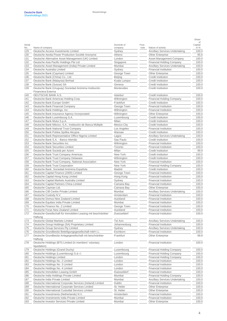| Serial<br>No. | Name of company                                                            | Domicile of<br>company | Foot-<br>note | Nature of activity                    | οf<br>Capital<br>in % |
|---------------|----------------------------------------------------------------------------|------------------------|---------------|---------------------------------------|-----------------------|
| 129           | Deutsche Access Investments Limited                                        | Sydney                 |               | <b>Ancillary Services Undertaking</b> | 100.0                 |
| 130           | Deutsche Aeolia Power Production Société Anonyme                           | Athens                 |               | <b>Other Enterprise</b>               | 95.6                  |
| 131           | Deutsche Alternative Asset Management (UK) Limited                         | London                 |               | Asset Management Company              | 100.0                 |
| 132           | Deutsche Asia Pacific Holdings Pte Ltd                                     | Singapore              |               | <b>Financial Holding Company</b>      | 100.0                 |
| 133           | Deutsche Asset Management (India) Private Limited                          | Mumbai                 |               | <b>Ancillary Services Undertaking</b> | 100.0                 |
| 134           | Deutsche Australia Limited                                                 | Sydney                 |               | <b>Financial Institution</b>          | 100.0                 |
| 135           | Deutsche Bank (Cayman) Limited                                             | George Town            |               | <b>Other Enterprise</b>               | 100.0                 |
| 136           | Deutsche Bank (China) Co., Ltd.                                            | Beijing                |               | <b>Credit Institution</b>             | 100.0                 |
| 137           | Deutsche Bank (Malaysia) Berhad                                            | Kuala Lumpur           |               | <b>Credit Institution</b>             | 100.0                 |
| 138           | Deutsche Bank (Suisse) SA                                                  | Geneva                 |               | <b>Credit Institution</b>             | 100.0                 |
| 139           | Deutsche Bank (Uruguay) Sociedad Anónima Institución<br>Financiera Externa | Montevideo             |               | <b>Credit Institution</b>             | 100.0                 |
| 140           | DEUTSCHE BANK A.S.                                                         | Istanbul               |               | <b>Credit Institution</b>             | 100.0                 |
| 141           | Deutsche Bank Americas Holding Corp.                                       | Wilmington             |               | <b>Financial Holding Company</b>      | 100.0                 |
| 142           | Deutsche Bank Europe GmbH                                                  | Frankfurt              |               | <b>Credit Institution</b>             | 100.0                 |
| 143           | Deutsche Bank Financial Company                                            | George Town            |               | <b>Financial Institution</b>          | 100.0                 |
| 144           | Deutsche Bank Holdings, Inc.                                               | Wilmington             |               | <b>Financial Institution</b>          | 100.0                 |
| 145           | Deutsche Bank Insurance Agency Incorporated                                | Wilmington             |               | <b>Other Enterprise</b>               | 100.0                 |
| 146           | Deutsche Bank Luxembourg S.A.                                              | Luxembourg             |               | <b>Credit Institution</b>             | 100.0                 |
| 147           | Deutsche Bank Mutui S.p.A.                                                 | Milan                  |               | <b>Credit Institution</b>             | 100.0                 |
| 148           | Deutsche Bank México, S.A., Institución de Banca Múltiple                  | <b>Mexico City</b>     |               | <b>Credit Institution</b>             | 100.0                 |
| 149           | Deutsche Bank National Trust Company                                       | Los Angeles            |               | <b>Financial Institution</b>          | 100.0                 |
| 150           | Deutsche Bank Polska Spólka Akcyjna                                        | Warsaw                 |               | <b>Credit Institution</b>             | 100.0                 |
| 151           | Deutsche Bank Representative Office Nigeria Limited                        | Lagos                  |               | <b>Ancillary Services Undertaking</b> | 100.0                 |
| 152           | Deutsche Bank S.A. - Banco Alemão                                          | Sao Paulo              |               | <b>Credit Institution</b>             | 100.0                 |
| 153           | Deutsche Bank Securities Inc.                                              | Wilmington             |               | <b>Financial Institution</b>          | 100.0                 |
| 154           | Deutsche Bank Securities Limited                                           | Toronto                |               | <b>Financial Institution</b>          | 100.0                 |
| 155           | Deutsche Bank Società per Azioni                                           | Milan                  |               | <b>Credit Institution</b>             | 99.9                  |
| 156           | Deutsche Bank Trust Company Americas                                       | New York               |               | <b>Credit Institution</b>             | 100.0                 |
| 157           | Deutsche Bank Trust Company Delaware                                       | Wilmington             |               | Credit Institution                    | 100.0                 |
| 158           | Deutsche Bank Trust Company, National Association                          | New York               |               | <b>Financial Institution</b>          | 100.0                 |
| 159           | Deutsche Bank Trust Corporation                                            | New York               |               | <b>Financial Holding Company</b>      | 100.0                 |
| 160           | Deutsche Bank, Sociedad Anónima Española                                   | Madrid                 |               | <b>Credit Institution</b>             | 100.0                 |
| 161           | Deutsche Capital Finance (2000) Limited                                    | George Town            |               | <b>Financial Institution</b>          | 100.0                 |
| 162           | Deutsche Capital Hong Kong Limited                                         | Hong Kong              |               | <b>Financial Institution</b>          | 100.0                 |
| 163           | Deutsche Capital Markets Australia Limited                                 | Sydney                 |               | <b>Financial Institution</b>          | 100.0                 |
| 164           | Deutsche Capital Partners China Limited                                    | Camana Bay             |               | <b>Financial Institution</b>          | 100.0                 |
| 165           | Deutsche Cayman Ltd.                                                       | Camana Bay             |               | <b>Other Enterprise</b>               | 100.0                 |
| 166           | Deutsche CIB Centre Private Limited                                        | Mumbai                 |               | <b>Ancillary Services Undertaking</b> | 100.0                 |
| 167           | Deutsche Custody N.V.                                                      | Amsterdam              |               | <b>Financial Institution</b>          | 100.0                 |
| 168           | Deutsche Domus New Zealand Limited                                         | Auckland               |               | <b>Financial Institution</b>          | 100.0                 |
| 169           | Deutsche Equities India Private Limited                                    | Mumbai                 |               | <b>Financial Institution</b>          | 100.0                 |
| 170           | Deutsche Finance No. 2 Limited                                             | George Town            |               | <b>Financial Institution</b>          | 100.0                 |
| 171           | Deutsche Foras New Zealand Limited                                         | Auckland               |               | <b>Financial Institution</b>          | 100.0                 |
| 172           | Deutsche Gesellschaft für Immobilien-Leasing mit beschränkter<br>Haftung   | Duesseldorf            |               | <b>Financial Institution</b>          | 100.0                 |
| 173           | Deutsche Global Markets Limited                                            | <b>Tel Aviv</b>        |               | <b>Ancillary Services Undertaking</b> | 100.0                 |
| 174           | Deutsche Group Holdings (SA) Proprietary Limited                           | Johannesburg           |               | <b>Financial Institution</b>          | 100.0                 |
| 175           | Deutsche Group Services Pty Limited                                        | Sydney                 |               | <b>Ancillary Services Undertaking</b> | 100.0                 |
| 176           | Deutsche Grundbesitz Beteiligungsgesellschaft mbH i.L.                     | Eschborn               |               | <b>Financial Institution</b>          | 100.0                 |
| 177           | Deutsche Grundbesitz-Anlagegesellschaft mit beschränkter<br>Haftung        | Frankfurt              |               | <b>Other Enterprise</b>               | 99.8                  |
| 178           | Deutsche Holdings (BTI) Limited (in members' voluntary<br>liquidation)     | London                 |               | <b>Financial Institution</b>          | 100.0                 |
| 179           | Deutsche Holdings (Grand Duchy)                                            | Luxembourg             |               | <b>Financial Holding Company</b>      | 100.0                 |
| 180           | Deutsche Holdings (Luxembourg) S.à r.l.                                    | Luxembourg             |               | <b>Financial Holding Company</b>      | 100.0                 |
| 181           | Deutsche Holdings Limited                                                  | London                 |               | <b>Financial Holding Company</b>      | 100.0                 |
| 182           | Deutsche Holdings No. 2 Limited                                            | London                 |               | <b>Financial Institution</b>          | 100.0                 |
| 183           | Deutsche Holdings No. 3 Limited                                            | London                 |               | <b>Financial Institution</b>          | 100.0                 |
| 184           | Deutsche Holdings No. 4 Limited                                            | London                 |               | <b>Financial Institution</b>          | 100.0                 |
| 185           | Deutsche Immobilien Leasing GmbH                                           | Duesseldorf            |               | <b>Financial Institution</b>          | 100.0                 |
| 186           | Deutsche India Holdings Private Limited                                    | Mumbai                 |               | <b>Financial Holding Company</b>      | 100.0                 |
| 187           | Deutsche India Private Limited                                             | Mumbai                 |               | Ancillary Services Undertaking        | 100.0                 |
| 188           | Deutsche International Corporate Services (Ireland) Limited                | Dublin                 |               | <b>Financial Institution</b>          | 100.0                 |
| 189           | Deutsche International Corporate Services Limited                          | St. Helier             |               | <b>Other Enterprise</b>               | 100.0                 |
| 190           | Deutsche International Custodial Services Limited                          | St. Helier             |               | Other Enterprise                      | 100.0                 |
| 191           | Deutsche Investments (Netherlands) N.V.                                    | Amsterdam              |               | <b>Financial Institution</b>          | 100.0                 |
| 192           | Deutsche Investments India Private Limited                                 | Mumbai                 |               | <b>Financial Institution</b>          | 100.0                 |
| 193           | Deutsche Investor Services Private Limited                                 | Mumbai                 |               | <b>Other Enterprise</b>               | 100.0                 |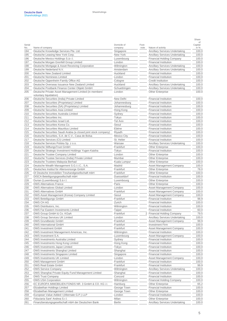| Name of company<br>Nature of activity<br>No.<br>company<br>note<br>Deutsche Knowledge Services Pte. Ltd.<br><b>Ancillary Services Undertaking</b><br>194<br>Singapore<br>195<br>Deutsche Leasing New York Corp.<br>New York<br><b>Ancillary Services Undertaking</b><br>196<br>Deutsche Mexico Holdings S.à r.l.<br>Luxembourg<br><b>Financial Holding Company</b><br>Deutsche Morgan Grenfell Group Limited<br>London<br><b>Financial Institution</b><br>197<br><b>Ancillary Services Undertaking</b><br>198<br>Deutsche Mortgage & Asset Receiving Corporation<br>Wilmington<br>199<br>Deutsche Nederland N.V.<br>Amsterdam<br><b>Ancillary Services Undertaking</b><br>Auckland<br>200<br>Deutsche New Zealand Limited<br><b>Financial Institution</b><br>201<br>Deutsche Nominees Limited<br>London<br><b>Financial Institution</b><br>202<br>Deutsche Oppenheim Family Office AG<br>Cologne<br><b>Credit Institution</b><br>Deutsche Overseas Issuance New Zealand Limited<br>Auckland<br>203<br>Deutsche Postbank Finance Center Obiekt GmbH<br>204<br>Schuettringen<br>Deutsche Private Asset Management Limited (in members'<br>205<br>London<br><b>Other Enterprise</b><br>voluntary liquidation)<br>Deutsche Securities (India) Private Limited<br>New Delhi<br><b>Financial Institution</b><br>206<br>Deutsche Securities (Proprietary) Limited<br>207<br>Johannesburg<br><b>Financial Institution</b><br>Deutsche Securities (SA) (Proprietary) Limited<br>208<br>Johannesburg<br><b>Financial Institution</b><br>209<br>Deutsche Securities Asia Limited<br>Hong Kong<br><b>Financial Institution</b><br>210<br>Deutsche Securities Australia Limited<br>Sydney<br><b>Financial Institution</b><br>211<br>Deutsche Securities Inc.<br>Tokyo<br><b>Financial Institution</b><br>212<br>Deutsche Securities Israel Ltd.<br>Tel Aviv<br><b>Financial Institution</b><br>213<br>Deutsche Securities Korea Co.<br>Seoul<br><b>Financial Institution</b><br>Ebène<br>214<br>Deutsche Securities Mauritius Limited<br><b>Financial Institution</b><br>215<br>Deutsche Securities Saudi Arabia (a closed joint stock company)<br>Riyadh<br><b>Financial Institution</b><br>216<br>Deutsche Securities, S.A. de C.V., Casa de Bolsa<br><b>Mexico City</b><br><b>Financial Institution</b><br>St. Helier<br>217<br>Deutsche Services (CI) Limited<br><b>Financial Institution</b><br>218<br>Deutsche Services Polska Sp. z o.o.<br>Warsaw<br>Ancillary Services Undertaking<br>219<br>Deutsche StiftungsTrust GmbH<br>Frankfurt<br><b>Other Enterprise</b><br>Deutsche Strategic Investment Holdings Yugen Kaisha<br>Tokyo<br><b>Financial Institution</b><br>220<br>221<br>Deutsche Trustee Company Limited<br>London<br><b>Other Enterprise</b><br>Mumbai<br>222<br>Deutsche Trustee Services (India) Private Limited<br><b>Other Enterprise</b><br>223<br>Deutsche Trustees Malaysia Berhad<br><b>Other Enterprise</b><br>Kuala Lumpur<br>Deutsche Wealth Management S.G.I.I.C., S.A.<br>224<br>Madrid<br>Asset Management Company<br>225<br>Deutsches Institut für Altersvorsorge GmbH<br>Frankfurt<br><b>Other Enterprise</b><br>226<br>DI Deutsche Immobilien Treuhandgesellschaft mbH<br>Frankfurt<br><b>Other Enterprise</b><br>227<br>DISCA Beteiligungsgesellschaft mbH<br>Duesseldorf<br><b>Financial Institution</b><br>228<br>Durian (Luxembourg) S.à r.l.<br><b>Other Enterprise</b><br>Luxembourg<br>229<br><b>DWS Alternatives France</b><br>Paris<br><b>Other Enterprise</b><br>230<br><b>DWS Alternatives Global Limited</b><br>London<br>231<br><b>DWS Alternatives GmbH</b><br>Frankfurt<br>DWS Asset Management (Korea) Company Limited<br>232<br>Seoul<br>Frankfurt<br><b>DWS Beteiligungs GmbH</b><br><b>Financial Institution</b><br>233<br>234<br><b>DWS CH AG</b><br>Zurich<br><b>Financial Institution</b><br>DWS Distributors, Inc.<br><b>Financial Institution</b><br>235<br>Wilmington<br>DWS Far Eastern Investments Limited<br>236<br>Taipei<br><b>Financial Institution</b><br>237<br>DWS Group GmbH & Co. KGaA<br>Frankfurt<br>238<br><b>DWS Group Services UK Limited</b><br>London<br>DWS Grundbesitz GmbH<br>Frankfurt<br>Asset Management Company<br>239<br>DWS International GmbH<br>Frankfurt<br><b>Investment Firm</b><br>240<br><b>DWS Investment GmbH</b><br>241<br>Frankfurt<br>Asset Management Company<br>242<br>DWS Investment Management Americas, Inc.<br>Wilmington<br><b>Financial Institution</b><br>243<br>DWS Investment S.A.<br>Luxembourg<br>244<br>DWS Investments Australia Limited<br><b>Financial Institution</b><br>Sydney<br>DWS Investments Hong Kong Limited<br>Hong Kong<br>245<br><b>Financial Institution</b><br>DWS Investments Japan Limited<br>Tokyo<br><b>Financial Institution</b><br>246<br>DWS Investments Shanghai Limited<br>247<br>Shanghai<br><b>Financial Institution</b><br>DWS Investments Singapore Limited<br><b>Financial Institution</b><br>248<br>Singapore<br><b>DWS Investments UK Limited</b><br>249<br>London<br>Asset Management Company<br>Financial Institution<br><b>DWS Management GmbH</b><br>Frankfurt<br>250<br>DWS Real Estate GmbH<br>Frankfurt<br><b>Financial Institution</b><br>251<br>252<br><b>DWS Service Company</b><br>Wilmington<br><b>Ancillary Services Undertaking</b><br>DWS Shanghai Private Equity Fund Management Limited<br>253<br>Shanghai<br><b>Financial Institution</b><br>254<br><b>DWS Trust Company</b><br>Concord<br><b>Financial Institution</b><br>DWS USA Corporation<br>Wilmington<br>Financial Holding Company<br>255 | Domicile of | Foot-                                 | of<br>Capital  |
|------------------------------------------------------------------------------------------------------------------------------------------------------------------------------------------------------------------------------------------------------------------------------------------------------------------------------------------------------------------------------------------------------------------------------------------------------------------------------------------------------------------------------------------------------------------------------------------------------------------------------------------------------------------------------------------------------------------------------------------------------------------------------------------------------------------------------------------------------------------------------------------------------------------------------------------------------------------------------------------------------------------------------------------------------------------------------------------------------------------------------------------------------------------------------------------------------------------------------------------------------------------------------------------------------------------------------------------------------------------------------------------------------------------------------------------------------------------------------------------------------------------------------------------------------------------------------------------------------------------------------------------------------------------------------------------------------------------------------------------------------------------------------------------------------------------------------------------------------------------------------------------------------------------------------------------------------------------------------------------------------------------------------------------------------------------------------------------------------------------------------------------------------------------------------------------------------------------------------------------------------------------------------------------------------------------------------------------------------------------------------------------------------------------------------------------------------------------------------------------------------------------------------------------------------------------------------------------------------------------------------------------------------------------------------------------------------------------------------------------------------------------------------------------------------------------------------------------------------------------------------------------------------------------------------------------------------------------------------------------------------------------------------------------------------------------------------------------------------------------------------------------------------------------------------------------------------------------------------------------------------------------------------------------------------------------------------------------------------------------------------------------------------------------------------------------------------------------------------------------------------------------------------------------------------------------------------------------------------------------------------------------------------------------------------------------------------------------------------------------------------------------------------------------------------------------------------------------------------------------------------------------------------------------------------------------------------------------------------------------------------------------------------------------------------------------------------------------------------------------------------------------------------------------------------------------------------------------------------------------------------------------------------------------------------------------------------------------------------------------------------------------------------------------------------------------------------------------------------------------------------------------------------------------------------------------------------------------------------------------------------------------------------------------------------------------------------------------------------------------------------------------------------------------------------------------------------------------------------------------------------------------------------------------------------------------------------------------------------------------------------------------------------------------------------------------------------------------------------------------------------------------------------------------------------------------------------------------------------------------------------------------------------------------------------------------------------------------------------------------------------------------------------------------------------------------------------------------------------------------------------------------------------------------------------------|-------------|---------------------------------------|----------------|
|                                                                                                                                                                                                                                                                                                                                                                                                                                                                                                                                                                                                                                                                                                                                                                                                                                                                                                                                                                                                                                                                                                                                                                                                                                                                                                                                                                                                                                                                                                                                                                                                                                                                                                                                                                                                                                                                                                                                                                                                                                                                                                                                                                                                                                                                                                                                                                                                                                                                                                                                                                                                                                                                                                                                                                                                                                                                                                                                                                                                                                                                                                                                                                                                                                                                                                                                                                                                                                                                                                                                                                                                                                                                                                                                                                                                                                                                                                                                                                                                                                                                                                                                                                                                                                                                                                                                                                                                                                                                                                                                                                                                                                                                                                                                                                                                                                                                                                                                                                                                                                                                                                                                                                                                                                                                                                                                                                                                                                                                                                                                                            |             |                                       | in %           |
|                                                                                                                                                                                                                                                                                                                                                                                                                                                                                                                                                                                                                                                                                                                                                                                                                                                                                                                                                                                                                                                                                                                                                                                                                                                                                                                                                                                                                                                                                                                                                                                                                                                                                                                                                                                                                                                                                                                                                                                                                                                                                                                                                                                                                                                                                                                                                                                                                                                                                                                                                                                                                                                                                                                                                                                                                                                                                                                                                                                                                                                                                                                                                                                                                                                                                                                                                                                                                                                                                                                                                                                                                                                                                                                                                                                                                                                                                                                                                                                                                                                                                                                                                                                                                                                                                                                                                                                                                                                                                                                                                                                                                                                                                                                                                                                                                                                                                                                                                                                                                                                                                                                                                                                                                                                                                                                                                                                                                                                                                                                                                            |             |                                       | 100.0<br>100.0 |
|                                                                                                                                                                                                                                                                                                                                                                                                                                                                                                                                                                                                                                                                                                                                                                                                                                                                                                                                                                                                                                                                                                                                                                                                                                                                                                                                                                                                                                                                                                                                                                                                                                                                                                                                                                                                                                                                                                                                                                                                                                                                                                                                                                                                                                                                                                                                                                                                                                                                                                                                                                                                                                                                                                                                                                                                                                                                                                                                                                                                                                                                                                                                                                                                                                                                                                                                                                                                                                                                                                                                                                                                                                                                                                                                                                                                                                                                                                                                                                                                                                                                                                                                                                                                                                                                                                                                                                                                                                                                                                                                                                                                                                                                                                                                                                                                                                                                                                                                                                                                                                                                                                                                                                                                                                                                                                                                                                                                                                                                                                                                                            |             |                                       | 100.0          |
|                                                                                                                                                                                                                                                                                                                                                                                                                                                                                                                                                                                                                                                                                                                                                                                                                                                                                                                                                                                                                                                                                                                                                                                                                                                                                                                                                                                                                                                                                                                                                                                                                                                                                                                                                                                                                                                                                                                                                                                                                                                                                                                                                                                                                                                                                                                                                                                                                                                                                                                                                                                                                                                                                                                                                                                                                                                                                                                                                                                                                                                                                                                                                                                                                                                                                                                                                                                                                                                                                                                                                                                                                                                                                                                                                                                                                                                                                                                                                                                                                                                                                                                                                                                                                                                                                                                                                                                                                                                                                                                                                                                                                                                                                                                                                                                                                                                                                                                                                                                                                                                                                                                                                                                                                                                                                                                                                                                                                                                                                                                                                            |             |                                       | 100.0          |
|                                                                                                                                                                                                                                                                                                                                                                                                                                                                                                                                                                                                                                                                                                                                                                                                                                                                                                                                                                                                                                                                                                                                                                                                                                                                                                                                                                                                                                                                                                                                                                                                                                                                                                                                                                                                                                                                                                                                                                                                                                                                                                                                                                                                                                                                                                                                                                                                                                                                                                                                                                                                                                                                                                                                                                                                                                                                                                                                                                                                                                                                                                                                                                                                                                                                                                                                                                                                                                                                                                                                                                                                                                                                                                                                                                                                                                                                                                                                                                                                                                                                                                                                                                                                                                                                                                                                                                                                                                                                                                                                                                                                                                                                                                                                                                                                                                                                                                                                                                                                                                                                                                                                                                                                                                                                                                                                                                                                                                                                                                                                                            |             |                                       | 100.0          |
|                                                                                                                                                                                                                                                                                                                                                                                                                                                                                                                                                                                                                                                                                                                                                                                                                                                                                                                                                                                                                                                                                                                                                                                                                                                                                                                                                                                                                                                                                                                                                                                                                                                                                                                                                                                                                                                                                                                                                                                                                                                                                                                                                                                                                                                                                                                                                                                                                                                                                                                                                                                                                                                                                                                                                                                                                                                                                                                                                                                                                                                                                                                                                                                                                                                                                                                                                                                                                                                                                                                                                                                                                                                                                                                                                                                                                                                                                                                                                                                                                                                                                                                                                                                                                                                                                                                                                                                                                                                                                                                                                                                                                                                                                                                                                                                                                                                                                                                                                                                                                                                                                                                                                                                                                                                                                                                                                                                                                                                                                                                                                            |             |                                       | 100.0          |
|                                                                                                                                                                                                                                                                                                                                                                                                                                                                                                                                                                                                                                                                                                                                                                                                                                                                                                                                                                                                                                                                                                                                                                                                                                                                                                                                                                                                                                                                                                                                                                                                                                                                                                                                                                                                                                                                                                                                                                                                                                                                                                                                                                                                                                                                                                                                                                                                                                                                                                                                                                                                                                                                                                                                                                                                                                                                                                                                                                                                                                                                                                                                                                                                                                                                                                                                                                                                                                                                                                                                                                                                                                                                                                                                                                                                                                                                                                                                                                                                                                                                                                                                                                                                                                                                                                                                                                                                                                                                                                                                                                                                                                                                                                                                                                                                                                                                                                                                                                                                                                                                                                                                                                                                                                                                                                                                                                                                                                                                                                                                                            |             |                                       | 100.0          |
|                                                                                                                                                                                                                                                                                                                                                                                                                                                                                                                                                                                                                                                                                                                                                                                                                                                                                                                                                                                                                                                                                                                                                                                                                                                                                                                                                                                                                                                                                                                                                                                                                                                                                                                                                                                                                                                                                                                                                                                                                                                                                                                                                                                                                                                                                                                                                                                                                                                                                                                                                                                                                                                                                                                                                                                                                                                                                                                                                                                                                                                                                                                                                                                                                                                                                                                                                                                                                                                                                                                                                                                                                                                                                                                                                                                                                                                                                                                                                                                                                                                                                                                                                                                                                                                                                                                                                                                                                                                                                                                                                                                                                                                                                                                                                                                                                                                                                                                                                                                                                                                                                                                                                                                                                                                                                                                                                                                                                                                                                                                                                            |             |                                       | 100.0          |
|                                                                                                                                                                                                                                                                                                                                                                                                                                                                                                                                                                                                                                                                                                                                                                                                                                                                                                                                                                                                                                                                                                                                                                                                                                                                                                                                                                                                                                                                                                                                                                                                                                                                                                                                                                                                                                                                                                                                                                                                                                                                                                                                                                                                                                                                                                                                                                                                                                                                                                                                                                                                                                                                                                                                                                                                                                                                                                                                                                                                                                                                                                                                                                                                                                                                                                                                                                                                                                                                                                                                                                                                                                                                                                                                                                                                                                                                                                                                                                                                                                                                                                                                                                                                                                                                                                                                                                                                                                                                                                                                                                                                                                                                                                                                                                                                                                                                                                                                                                                                                                                                                                                                                                                                                                                                                                                                                                                                                                                                                                                                                            |             |                                       | 100.0          |
|                                                                                                                                                                                                                                                                                                                                                                                                                                                                                                                                                                                                                                                                                                                                                                                                                                                                                                                                                                                                                                                                                                                                                                                                                                                                                                                                                                                                                                                                                                                                                                                                                                                                                                                                                                                                                                                                                                                                                                                                                                                                                                                                                                                                                                                                                                                                                                                                                                                                                                                                                                                                                                                                                                                                                                                                                                                                                                                                                                                                                                                                                                                                                                                                                                                                                                                                                                                                                                                                                                                                                                                                                                                                                                                                                                                                                                                                                                                                                                                                                                                                                                                                                                                                                                                                                                                                                                                                                                                                                                                                                                                                                                                                                                                                                                                                                                                                                                                                                                                                                                                                                                                                                                                                                                                                                                                                                                                                                                                                                                                                                            |             | <b>Ancillary Services Undertaking</b> | 100.0          |
|                                                                                                                                                                                                                                                                                                                                                                                                                                                                                                                                                                                                                                                                                                                                                                                                                                                                                                                                                                                                                                                                                                                                                                                                                                                                                                                                                                                                                                                                                                                                                                                                                                                                                                                                                                                                                                                                                                                                                                                                                                                                                                                                                                                                                                                                                                                                                                                                                                                                                                                                                                                                                                                                                                                                                                                                                                                                                                                                                                                                                                                                                                                                                                                                                                                                                                                                                                                                                                                                                                                                                                                                                                                                                                                                                                                                                                                                                                                                                                                                                                                                                                                                                                                                                                                                                                                                                                                                                                                                                                                                                                                                                                                                                                                                                                                                                                                                                                                                                                                                                                                                                                                                                                                                                                                                                                                                                                                                                                                                                                                                                            |             | <b>Ancillary Services Undertaking</b> | 100.0          |
|                                                                                                                                                                                                                                                                                                                                                                                                                                                                                                                                                                                                                                                                                                                                                                                                                                                                                                                                                                                                                                                                                                                                                                                                                                                                                                                                                                                                                                                                                                                                                                                                                                                                                                                                                                                                                                                                                                                                                                                                                                                                                                                                                                                                                                                                                                                                                                                                                                                                                                                                                                                                                                                                                                                                                                                                                                                                                                                                                                                                                                                                                                                                                                                                                                                                                                                                                                                                                                                                                                                                                                                                                                                                                                                                                                                                                                                                                                                                                                                                                                                                                                                                                                                                                                                                                                                                                                                                                                                                                                                                                                                                                                                                                                                                                                                                                                                                                                                                                                                                                                                                                                                                                                                                                                                                                                                                                                                                                                                                                                                                                            |             |                                       | 100.0          |
|                                                                                                                                                                                                                                                                                                                                                                                                                                                                                                                                                                                                                                                                                                                                                                                                                                                                                                                                                                                                                                                                                                                                                                                                                                                                                                                                                                                                                                                                                                                                                                                                                                                                                                                                                                                                                                                                                                                                                                                                                                                                                                                                                                                                                                                                                                                                                                                                                                                                                                                                                                                                                                                                                                                                                                                                                                                                                                                                                                                                                                                                                                                                                                                                                                                                                                                                                                                                                                                                                                                                                                                                                                                                                                                                                                                                                                                                                                                                                                                                                                                                                                                                                                                                                                                                                                                                                                                                                                                                                                                                                                                                                                                                                                                                                                                                                                                                                                                                                                                                                                                                                                                                                                                                                                                                                                                                                                                                                                                                                                                                                            |             |                                       | 100.0          |
|                                                                                                                                                                                                                                                                                                                                                                                                                                                                                                                                                                                                                                                                                                                                                                                                                                                                                                                                                                                                                                                                                                                                                                                                                                                                                                                                                                                                                                                                                                                                                                                                                                                                                                                                                                                                                                                                                                                                                                                                                                                                                                                                                                                                                                                                                                                                                                                                                                                                                                                                                                                                                                                                                                                                                                                                                                                                                                                                                                                                                                                                                                                                                                                                                                                                                                                                                                                                                                                                                                                                                                                                                                                                                                                                                                                                                                                                                                                                                                                                                                                                                                                                                                                                                                                                                                                                                                                                                                                                                                                                                                                                                                                                                                                                                                                                                                                                                                                                                                                                                                                                                                                                                                                                                                                                                                                                                                                                                                                                                                                                                            |             |                                       | 100.0          |
|                                                                                                                                                                                                                                                                                                                                                                                                                                                                                                                                                                                                                                                                                                                                                                                                                                                                                                                                                                                                                                                                                                                                                                                                                                                                                                                                                                                                                                                                                                                                                                                                                                                                                                                                                                                                                                                                                                                                                                                                                                                                                                                                                                                                                                                                                                                                                                                                                                                                                                                                                                                                                                                                                                                                                                                                                                                                                                                                                                                                                                                                                                                                                                                                                                                                                                                                                                                                                                                                                                                                                                                                                                                                                                                                                                                                                                                                                                                                                                                                                                                                                                                                                                                                                                                                                                                                                                                                                                                                                                                                                                                                                                                                                                                                                                                                                                                                                                                                                                                                                                                                                                                                                                                                                                                                                                                                                                                                                                                                                                                                                            |             |                                       | 100.0          |
|                                                                                                                                                                                                                                                                                                                                                                                                                                                                                                                                                                                                                                                                                                                                                                                                                                                                                                                                                                                                                                                                                                                                                                                                                                                                                                                                                                                                                                                                                                                                                                                                                                                                                                                                                                                                                                                                                                                                                                                                                                                                                                                                                                                                                                                                                                                                                                                                                                                                                                                                                                                                                                                                                                                                                                                                                                                                                                                                                                                                                                                                                                                                                                                                                                                                                                                                                                                                                                                                                                                                                                                                                                                                                                                                                                                                                                                                                                                                                                                                                                                                                                                                                                                                                                                                                                                                                                                                                                                                                                                                                                                                                                                                                                                                                                                                                                                                                                                                                                                                                                                                                                                                                                                                                                                                                                                                                                                                                                                                                                                                                            |             |                                       | 100.0          |
|                                                                                                                                                                                                                                                                                                                                                                                                                                                                                                                                                                                                                                                                                                                                                                                                                                                                                                                                                                                                                                                                                                                                                                                                                                                                                                                                                                                                                                                                                                                                                                                                                                                                                                                                                                                                                                                                                                                                                                                                                                                                                                                                                                                                                                                                                                                                                                                                                                                                                                                                                                                                                                                                                                                                                                                                                                                                                                                                                                                                                                                                                                                                                                                                                                                                                                                                                                                                                                                                                                                                                                                                                                                                                                                                                                                                                                                                                                                                                                                                                                                                                                                                                                                                                                                                                                                                                                                                                                                                                                                                                                                                                                                                                                                                                                                                                                                                                                                                                                                                                                                                                                                                                                                                                                                                                                                                                                                                                                                                                                                                                            |             |                                       | 100.0          |
|                                                                                                                                                                                                                                                                                                                                                                                                                                                                                                                                                                                                                                                                                                                                                                                                                                                                                                                                                                                                                                                                                                                                                                                                                                                                                                                                                                                                                                                                                                                                                                                                                                                                                                                                                                                                                                                                                                                                                                                                                                                                                                                                                                                                                                                                                                                                                                                                                                                                                                                                                                                                                                                                                                                                                                                                                                                                                                                                                                                                                                                                                                                                                                                                                                                                                                                                                                                                                                                                                                                                                                                                                                                                                                                                                                                                                                                                                                                                                                                                                                                                                                                                                                                                                                                                                                                                                                                                                                                                                                                                                                                                                                                                                                                                                                                                                                                                                                                                                                                                                                                                                                                                                                                                                                                                                                                                                                                                                                                                                                                                                            |             |                                       | 100.0          |
|                                                                                                                                                                                                                                                                                                                                                                                                                                                                                                                                                                                                                                                                                                                                                                                                                                                                                                                                                                                                                                                                                                                                                                                                                                                                                                                                                                                                                                                                                                                                                                                                                                                                                                                                                                                                                                                                                                                                                                                                                                                                                                                                                                                                                                                                                                                                                                                                                                                                                                                                                                                                                                                                                                                                                                                                                                                                                                                                                                                                                                                                                                                                                                                                                                                                                                                                                                                                                                                                                                                                                                                                                                                                                                                                                                                                                                                                                                                                                                                                                                                                                                                                                                                                                                                                                                                                                                                                                                                                                                                                                                                                                                                                                                                                                                                                                                                                                                                                                                                                                                                                                                                                                                                                                                                                                                                                                                                                                                                                                                                                                            |             |                                       | 100.0          |
|                                                                                                                                                                                                                                                                                                                                                                                                                                                                                                                                                                                                                                                                                                                                                                                                                                                                                                                                                                                                                                                                                                                                                                                                                                                                                                                                                                                                                                                                                                                                                                                                                                                                                                                                                                                                                                                                                                                                                                                                                                                                                                                                                                                                                                                                                                                                                                                                                                                                                                                                                                                                                                                                                                                                                                                                                                                                                                                                                                                                                                                                                                                                                                                                                                                                                                                                                                                                                                                                                                                                                                                                                                                                                                                                                                                                                                                                                                                                                                                                                                                                                                                                                                                                                                                                                                                                                                                                                                                                                                                                                                                                                                                                                                                                                                                                                                                                                                                                                                                                                                                                                                                                                                                                                                                                                                                                                                                                                                                                                                                                                            |             |                                       | 100.0          |
|                                                                                                                                                                                                                                                                                                                                                                                                                                                                                                                                                                                                                                                                                                                                                                                                                                                                                                                                                                                                                                                                                                                                                                                                                                                                                                                                                                                                                                                                                                                                                                                                                                                                                                                                                                                                                                                                                                                                                                                                                                                                                                                                                                                                                                                                                                                                                                                                                                                                                                                                                                                                                                                                                                                                                                                                                                                                                                                                                                                                                                                                                                                                                                                                                                                                                                                                                                                                                                                                                                                                                                                                                                                                                                                                                                                                                                                                                                                                                                                                                                                                                                                                                                                                                                                                                                                                                                                                                                                                                                                                                                                                                                                                                                                                                                                                                                                                                                                                                                                                                                                                                                                                                                                                                                                                                                                                                                                                                                                                                                                                                            |             |                                       | 100.0          |
|                                                                                                                                                                                                                                                                                                                                                                                                                                                                                                                                                                                                                                                                                                                                                                                                                                                                                                                                                                                                                                                                                                                                                                                                                                                                                                                                                                                                                                                                                                                                                                                                                                                                                                                                                                                                                                                                                                                                                                                                                                                                                                                                                                                                                                                                                                                                                                                                                                                                                                                                                                                                                                                                                                                                                                                                                                                                                                                                                                                                                                                                                                                                                                                                                                                                                                                                                                                                                                                                                                                                                                                                                                                                                                                                                                                                                                                                                                                                                                                                                                                                                                                                                                                                                                                                                                                                                                                                                                                                                                                                                                                                                                                                                                                                                                                                                                                                                                                                                                                                                                                                                                                                                                                                                                                                                                                                                                                                                                                                                                                                                            |             |                                       | 100.0          |
|                                                                                                                                                                                                                                                                                                                                                                                                                                                                                                                                                                                                                                                                                                                                                                                                                                                                                                                                                                                                                                                                                                                                                                                                                                                                                                                                                                                                                                                                                                                                                                                                                                                                                                                                                                                                                                                                                                                                                                                                                                                                                                                                                                                                                                                                                                                                                                                                                                                                                                                                                                                                                                                                                                                                                                                                                                                                                                                                                                                                                                                                                                                                                                                                                                                                                                                                                                                                                                                                                                                                                                                                                                                                                                                                                                                                                                                                                                                                                                                                                                                                                                                                                                                                                                                                                                                                                                                                                                                                                                                                                                                                                                                                                                                                                                                                                                                                                                                                                                                                                                                                                                                                                                                                                                                                                                                                                                                                                                                                                                                                                            |             |                                       | 100.0          |
|                                                                                                                                                                                                                                                                                                                                                                                                                                                                                                                                                                                                                                                                                                                                                                                                                                                                                                                                                                                                                                                                                                                                                                                                                                                                                                                                                                                                                                                                                                                                                                                                                                                                                                                                                                                                                                                                                                                                                                                                                                                                                                                                                                                                                                                                                                                                                                                                                                                                                                                                                                                                                                                                                                                                                                                                                                                                                                                                                                                                                                                                                                                                                                                                                                                                                                                                                                                                                                                                                                                                                                                                                                                                                                                                                                                                                                                                                                                                                                                                                                                                                                                                                                                                                                                                                                                                                                                                                                                                                                                                                                                                                                                                                                                                                                                                                                                                                                                                                                                                                                                                                                                                                                                                                                                                                                                                                                                                                                                                                                                                                            |             |                                       | 100.0          |
|                                                                                                                                                                                                                                                                                                                                                                                                                                                                                                                                                                                                                                                                                                                                                                                                                                                                                                                                                                                                                                                                                                                                                                                                                                                                                                                                                                                                                                                                                                                                                                                                                                                                                                                                                                                                                                                                                                                                                                                                                                                                                                                                                                                                                                                                                                                                                                                                                                                                                                                                                                                                                                                                                                                                                                                                                                                                                                                                                                                                                                                                                                                                                                                                                                                                                                                                                                                                                                                                                                                                                                                                                                                                                                                                                                                                                                                                                                                                                                                                                                                                                                                                                                                                                                                                                                                                                                                                                                                                                                                                                                                                                                                                                                                                                                                                                                                                                                                                                                                                                                                                                                                                                                                                                                                                                                                                                                                                                                                                                                                                                            |             |                                       | 100.0<br>100.0 |
|                                                                                                                                                                                                                                                                                                                                                                                                                                                                                                                                                                                                                                                                                                                                                                                                                                                                                                                                                                                                                                                                                                                                                                                                                                                                                                                                                                                                                                                                                                                                                                                                                                                                                                                                                                                                                                                                                                                                                                                                                                                                                                                                                                                                                                                                                                                                                                                                                                                                                                                                                                                                                                                                                                                                                                                                                                                                                                                                                                                                                                                                                                                                                                                                                                                                                                                                                                                                                                                                                                                                                                                                                                                                                                                                                                                                                                                                                                                                                                                                                                                                                                                                                                                                                                                                                                                                                                                                                                                                                                                                                                                                                                                                                                                                                                                                                                                                                                                                                                                                                                                                                                                                                                                                                                                                                                                                                                                                                                                                                                                                                            |             |                                       | 100.0          |
|                                                                                                                                                                                                                                                                                                                                                                                                                                                                                                                                                                                                                                                                                                                                                                                                                                                                                                                                                                                                                                                                                                                                                                                                                                                                                                                                                                                                                                                                                                                                                                                                                                                                                                                                                                                                                                                                                                                                                                                                                                                                                                                                                                                                                                                                                                                                                                                                                                                                                                                                                                                                                                                                                                                                                                                                                                                                                                                                                                                                                                                                                                                                                                                                                                                                                                                                                                                                                                                                                                                                                                                                                                                                                                                                                                                                                                                                                                                                                                                                                                                                                                                                                                                                                                                                                                                                                                                                                                                                                                                                                                                                                                                                                                                                                                                                                                                                                                                                                                                                                                                                                                                                                                                                                                                                                                                                                                                                                                                                                                                                                            |             |                                       | 100.0          |
|                                                                                                                                                                                                                                                                                                                                                                                                                                                                                                                                                                                                                                                                                                                                                                                                                                                                                                                                                                                                                                                                                                                                                                                                                                                                                                                                                                                                                                                                                                                                                                                                                                                                                                                                                                                                                                                                                                                                                                                                                                                                                                                                                                                                                                                                                                                                                                                                                                                                                                                                                                                                                                                                                                                                                                                                                                                                                                                                                                                                                                                                                                                                                                                                                                                                                                                                                                                                                                                                                                                                                                                                                                                                                                                                                                                                                                                                                                                                                                                                                                                                                                                                                                                                                                                                                                                                                                                                                                                                                                                                                                                                                                                                                                                                                                                                                                                                                                                                                                                                                                                                                                                                                                                                                                                                                                                                                                                                                                                                                                                                                            |             |                                       | 100.0          |
|                                                                                                                                                                                                                                                                                                                                                                                                                                                                                                                                                                                                                                                                                                                                                                                                                                                                                                                                                                                                                                                                                                                                                                                                                                                                                                                                                                                                                                                                                                                                                                                                                                                                                                                                                                                                                                                                                                                                                                                                                                                                                                                                                                                                                                                                                                                                                                                                                                                                                                                                                                                                                                                                                                                                                                                                                                                                                                                                                                                                                                                                                                                                                                                                                                                                                                                                                                                                                                                                                                                                                                                                                                                                                                                                                                                                                                                                                                                                                                                                                                                                                                                                                                                                                                                                                                                                                                                                                                                                                                                                                                                                                                                                                                                                                                                                                                                                                                                                                                                                                                                                                                                                                                                                                                                                                                                                                                                                                                                                                                                                                            |             |                                       | 100.0          |
|                                                                                                                                                                                                                                                                                                                                                                                                                                                                                                                                                                                                                                                                                                                                                                                                                                                                                                                                                                                                                                                                                                                                                                                                                                                                                                                                                                                                                                                                                                                                                                                                                                                                                                                                                                                                                                                                                                                                                                                                                                                                                                                                                                                                                                                                                                                                                                                                                                                                                                                                                                                                                                                                                                                                                                                                                                                                                                                                                                                                                                                                                                                                                                                                                                                                                                                                                                                                                                                                                                                                                                                                                                                                                                                                                                                                                                                                                                                                                                                                                                                                                                                                                                                                                                                                                                                                                                                                                                                                                                                                                                                                                                                                                                                                                                                                                                                                                                                                                                                                                                                                                                                                                                                                                                                                                                                                                                                                                                                                                                                                                            |             |                                       | 100.0          |
|                                                                                                                                                                                                                                                                                                                                                                                                                                                                                                                                                                                                                                                                                                                                                                                                                                                                                                                                                                                                                                                                                                                                                                                                                                                                                                                                                                                                                                                                                                                                                                                                                                                                                                                                                                                                                                                                                                                                                                                                                                                                                                                                                                                                                                                                                                                                                                                                                                                                                                                                                                                                                                                                                                                                                                                                                                                                                                                                                                                                                                                                                                                                                                                                                                                                                                                                                                                                                                                                                                                                                                                                                                                                                                                                                                                                                                                                                                                                                                                                                                                                                                                                                                                                                                                                                                                                                                                                                                                                                                                                                                                                                                                                                                                                                                                                                                                                                                                                                                                                                                                                                                                                                                                                                                                                                                                                                                                                                                                                                                                                                            |             |                                       | 78.0           |
|                                                                                                                                                                                                                                                                                                                                                                                                                                                                                                                                                                                                                                                                                                                                                                                                                                                                                                                                                                                                                                                                                                                                                                                                                                                                                                                                                                                                                                                                                                                                                                                                                                                                                                                                                                                                                                                                                                                                                                                                                                                                                                                                                                                                                                                                                                                                                                                                                                                                                                                                                                                                                                                                                                                                                                                                                                                                                                                                                                                                                                                                                                                                                                                                                                                                                                                                                                                                                                                                                                                                                                                                                                                                                                                                                                                                                                                                                                                                                                                                                                                                                                                                                                                                                                                                                                                                                                                                                                                                                                                                                                                                                                                                                                                                                                                                                                                                                                                                                                                                                                                                                                                                                                                                                                                                                                                                                                                                                                                                                                                                                            |             |                                       | 100.0          |
|                                                                                                                                                                                                                                                                                                                                                                                                                                                                                                                                                                                                                                                                                                                                                                                                                                                                                                                                                                                                                                                                                                                                                                                                                                                                                                                                                                                                                                                                                                                                                                                                                                                                                                                                                                                                                                                                                                                                                                                                                                                                                                                                                                                                                                                                                                                                                                                                                                                                                                                                                                                                                                                                                                                                                                                                                                                                                                                                                                                                                                                                                                                                                                                                                                                                                                                                                                                                                                                                                                                                                                                                                                                                                                                                                                                                                                                                                                                                                                                                                                                                                                                                                                                                                                                                                                                                                                                                                                                                                                                                                                                                                                                                                                                                                                                                                                                                                                                                                                                                                                                                                                                                                                                                                                                                                                                                                                                                                                                                                                                                                            |             |                                       | 100.0          |
|                                                                                                                                                                                                                                                                                                                                                                                                                                                                                                                                                                                                                                                                                                                                                                                                                                                                                                                                                                                                                                                                                                                                                                                                                                                                                                                                                                                                                                                                                                                                                                                                                                                                                                                                                                                                                                                                                                                                                                                                                                                                                                                                                                                                                                                                                                                                                                                                                                                                                                                                                                                                                                                                                                                                                                                                                                                                                                                                                                                                                                                                                                                                                                                                                                                                                                                                                                                                                                                                                                                                                                                                                                                                                                                                                                                                                                                                                                                                                                                                                                                                                                                                                                                                                                                                                                                                                                                                                                                                                                                                                                                                                                                                                                                                                                                                                                                                                                                                                                                                                                                                                                                                                                                                                                                                                                                                                                                                                                                                                                                                                            |             |                                       | 100.0          |
|                                                                                                                                                                                                                                                                                                                                                                                                                                                                                                                                                                                                                                                                                                                                                                                                                                                                                                                                                                                                                                                                                                                                                                                                                                                                                                                                                                                                                                                                                                                                                                                                                                                                                                                                                                                                                                                                                                                                                                                                                                                                                                                                                                                                                                                                                                                                                                                                                                                                                                                                                                                                                                                                                                                                                                                                                                                                                                                                                                                                                                                                                                                                                                                                                                                                                                                                                                                                                                                                                                                                                                                                                                                                                                                                                                                                                                                                                                                                                                                                                                                                                                                                                                                                                                                                                                                                                                                                                                                                                                                                                                                                                                                                                                                                                                                                                                                                                                                                                                                                                                                                                                                                                                                                                                                                                                                                                                                                                                                                                                                                                            |             |                                       | 100.0          |
|                                                                                                                                                                                                                                                                                                                                                                                                                                                                                                                                                                                                                                                                                                                                                                                                                                                                                                                                                                                                                                                                                                                                                                                                                                                                                                                                                                                                                                                                                                                                                                                                                                                                                                                                                                                                                                                                                                                                                                                                                                                                                                                                                                                                                                                                                                                                                                                                                                                                                                                                                                                                                                                                                                                                                                                                                                                                                                                                                                                                                                                                                                                                                                                                                                                                                                                                                                                                                                                                                                                                                                                                                                                                                                                                                                                                                                                                                                                                                                                                                                                                                                                                                                                                                                                                                                                                                                                                                                                                                                                                                                                                                                                                                                                                                                                                                                                                                                                                                                                                                                                                                                                                                                                                                                                                                                                                                                                                                                                                                                                                                            |             | Asset Management Company              | 100.0          |
|                                                                                                                                                                                                                                                                                                                                                                                                                                                                                                                                                                                                                                                                                                                                                                                                                                                                                                                                                                                                                                                                                                                                                                                                                                                                                                                                                                                                                                                                                                                                                                                                                                                                                                                                                                                                                                                                                                                                                                                                                                                                                                                                                                                                                                                                                                                                                                                                                                                                                                                                                                                                                                                                                                                                                                                                                                                                                                                                                                                                                                                                                                                                                                                                                                                                                                                                                                                                                                                                                                                                                                                                                                                                                                                                                                                                                                                                                                                                                                                                                                                                                                                                                                                                                                                                                                                                                                                                                                                                                                                                                                                                                                                                                                                                                                                                                                                                                                                                                                                                                                                                                                                                                                                                                                                                                                                                                                                                                                                                                                                                                            |             | <b>Asset Management Company</b>       | 100.0          |
|                                                                                                                                                                                                                                                                                                                                                                                                                                                                                                                                                                                                                                                                                                                                                                                                                                                                                                                                                                                                                                                                                                                                                                                                                                                                                                                                                                                                                                                                                                                                                                                                                                                                                                                                                                                                                                                                                                                                                                                                                                                                                                                                                                                                                                                                                                                                                                                                                                                                                                                                                                                                                                                                                                                                                                                                                                                                                                                                                                                                                                                                                                                                                                                                                                                                                                                                                                                                                                                                                                                                                                                                                                                                                                                                                                                                                                                                                                                                                                                                                                                                                                                                                                                                                                                                                                                                                                                                                                                                                                                                                                                                                                                                                                                                                                                                                                                                                                                                                                                                                                                                                                                                                                                                                                                                                                                                                                                                                                                                                                                                                            |             | Asset Management Company              | 100.0          |
|                                                                                                                                                                                                                                                                                                                                                                                                                                                                                                                                                                                                                                                                                                                                                                                                                                                                                                                                                                                                                                                                                                                                                                                                                                                                                                                                                                                                                                                                                                                                                                                                                                                                                                                                                                                                                                                                                                                                                                                                                                                                                                                                                                                                                                                                                                                                                                                                                                                                                                                                                                                                                                                                                                                                                                                                                                                                                                                                                                                                                                                                                                                                                                                                                                                                                                                                                                                                                                                                                                                                                                                                                                                                                                                                                                                                                                                                                                                                                                                                                                                                                                                                                                                                                                                                                                                                                                                                                                                                                                                                                                                                                                                                                                                                                                                                                                                                                                                                                                                                                                                                                                                                                                                                                                                                                                                                                                                                                                                                                                                                                            |             |                                       | 98.9           |
|                                                                                                                                                                                                                                                                                                                                                                                                                                                                                                                                                                                                                                                                                                                                                                                                                                                                                                                                                                                                                                                                                                                                                                                                                                                                                                                                                                                                                                                                                                                                                                                                                                                                                                                                                                                                                                                                                                                                                                                                                                                                                                                                                                                                                                                                                                                                                                                                                                                                                                                                                                                                                                                                                                                                                                                                                                                                                                                                                                                                                                                                                                                                                                                                                                                                                                                                                                                                                                                                                                                                                                                                                                                                                                                                                                                                                                                                                                                                                                                                                                                                                                                                                                                                                                                                                                                                                                                                                                                                                                                                                                                                                                                                                                                                                                                                                                                                                                                                                                                                                                                                                                                                                                                                                                                                                                                                                                                                                                                                                                                                                            |             |                                       | 100.0          |
|                                                                                                                                                                                                                                                                                                                                                                                                                                                                                                                                                                                                                                                                                                                                                                                                                                                                                                                                                                                                                                                                                                                                                                                                                                                                                                                                                                                                                                                                                                                                                                                                                                                                                                                                                                                                                                                                                                                                                                                                                                                                                                                                                                                                                                                                                                                                                                                                                                                                                                                                                                                                                                                                                                                                                                                                                                                                                                                                                                                                                                                                                                                                                                                                                                                                                                                                                                                                                                                                                                                                                                                                                                                                                                                                                                                                                                                                                                                                                                                                                                                                                                                                                                                                                                                                                                                                                                                                                                                                                                                                                                                                                                                                                                                                                                                                                                                                                                                                                                                                                                                                                                                                                                                                                                                                                                                                                                                                                                                                                                                                                            |             |                                       | 100.0          |
|                                                                                                                                                                                                                                                                                                                                                                                                                                                                                                                                                                                                                                                                                                                                                                                                                                                                                                                                                                                                                                                                                                                                                                                                                                                                                                                                                                                                                                                                                                                                                                                                                                                                                                                                                                                                                                                                                                                                                                                                                                                                                                                                                                                                                                                                                                                                                                                                                                                                                                                                                                                                                                                                                                                                                                                                                                                                                                                                                                                                                                                                                                                                                                                                                                                                                                                                                                                                                                                                                                                                                                                                                                                                                                                                                                                                                                                                                                                                                                                                                                                                                                                                                                                                                                                                                                                                                                                                                                                                                                                                                                                                                                                                                                                                                                                                                                                                                                                                                                                                                                                                                                                                                                                                                                                                                                                                                                                                                                                                                                                                                            |             |                                       | 60.0           |
|                                                                                                                                                                                                                                                                                                                                                                                                                                                                                                                                                                                                                                                                                                                                                                                                                                                                                                                                                                                                                                                                                                                                                                                                                                                                                                                                                                                                                                                                                                                                                                                                                                                                                                                                                                                                                                                                                                                                                                                                                                                                                                                                                                                                                                                                                                                                                                                                                                                                                                                                                                                                                                                                                                                                                                                                                                                                                                                                                                                                                                                                                                                                                                                                                                                                                                                                                                                                                                                                                                                                                                                                                                                                                                                                                                                                                                                                                                                                                                                                                                                                                                                                                                                                                                                                                                                                                                                                                                                                                                                                                                                                                                                                                                                                                                                                                                                                                                                                                                                                                                                                                                                                                                                                                                                                                                                                                                                                                                                                                                                                                            |             | <b>Financial Holding Company</b>      | 79.5           |
|                                                                                                                                                                                                                                                                                                                                                                                                                                                                                                                                                                                                                                                                                                                                                                                                                                                                                                                                                                                                                                                                                                                                                                                                                                                                                                                                                                                                                                                                                                                                                                                                                                                                                                                                                                                                                                                                                                                                                                                                                                                                                                                                                                                                                                                                                                                                                                                                                                                                                                                                                                                                                                                                                                                                                                                                                                                                                                                                                                                                                                                                                                                                                                                                                                                                                                                                                                                                                                                                                                                                                                                                                                                                                                                                                                                                                                                                                                                                                                                                                                                                                                                                                                                                                                                                                                                                                                                                                                                                                                                                                                                                                                                                                                                                                                                                                                                                                                                                                                                                                                                                                                                                                                                                                                                                                                                                                                                                                                                                                                                                                            |             | <b>Ancillary Services Undertaking</b> | 100.0          |
|                                                                                                                                                                                                                                                                                                                                                                                                                                                                                                                                                                                                                                                                                                                                                                                                                                                                                                                                                                                                                                                                                                                                                                                                                                                                                                                                                                                                                                                                                                                                                                                                                                                                                                                                                                                                                                                                                                                                                                                                                                                                                                                                                                                                                                                                                                                                                                                                                                                                                                                                                                                                                                                                                                                                                                                                                                                                                                                                                                                                                                                                                                                                                                                                                                                                                                                                                                                                                                                                                                                                                                                                                                                                                                                                                                                                                                                                                                                                                                                                                                                                                                                                                                                                                                                                                                                                                                                                                                                                                                                                                                                                                                                                                                                                                                                                                                                                                                                                                                                                                                                                                                                                                                                                                                                                                                                                                                                                                                                                                                                                                            |             |                                       | 99.9           |
|                                                                                                                                                                                                                                                                                                                                                                                                                                                                                                                                                                                                                                                                                                                                                                                                                                                                                                                                                                                                                                                                                                                                                                                                                                                                                                                                                                                                                                                                                                                                                                                                                                                                                                                                                                                                                                                                                                                                                                                                                                                                                                                                                                                                                                                                                                                                                                                                                                                                                                                                                                                                                                                                                                                                                                                                                                                                                                                                                                                                                                                                                                                                                                                                                                                                                                                                                                                                                                                                                                                                                                                                                                                                                                                                                                                                                                                                                                                                                                                                                                                                                                                                                                                                                                                                                                                                                                                                                                                                                                                                                                                                                                                                                                                                                                                                                                                                                                                                                                                                                                                                                                                                                                                                                                                                                                                                                                                                                                                                                                                                                            |             |                                       | 100.0          |
|                                                                                                                                                                                                                                                                                                                                                                                                                                                                                                                                                                                                                                                                                                                                                                                                                                                                                                                                                                                                                                                                                                                                                                                                                                                                                                                                                                                                                                                                                                                                                                                                                                                                                                                                                                                                                                                                                                                                                                                                                                                                                                                                                                                                                                                                                                                                                                                                                                                                                                                                                                                                                                                                                                                                                                                                                                                                                                                                                                                                                                                                                                                                                                                                                                                                                                                                                                                                                                                                                                                                                                                                                                                                                                                                                                                                                                                                                                                                                                                                                                                                                                                                                                                                                                                                                                                                                                                                                                                                                                                                                                                                                                                                                                                                                                                                                                                                                                                                                                                                                                                                                                                                                                                                                                                                                                                                                                                                                                                                                                                                                            |             |                                       | 100.0          |
|                                                                                                                                                                                                                                                                                                                                                                                                                                                                                                                                                                                                                                                                                                                                                                                                                                                                                                                                                                                                                                                                                                                                                                                                                                                                                                                                                                                                                                                                                                                                                                                                                                                                                                                                                                                                                                                                                                                                                                                                                                                                                                                                                                                                                                                                                                                                                                                                                                                                                                                                                                                                                                                                                                                                                                                                                                                                                                                                                                                                                                                                                                                                                                                                                                                                                                                                                                                                                                                                                                                                                                                                                                                                                                                                                                                                                                                                                                                                                                                                                                                                                                                                                                                                                                                                                                                                                                                                                                                                                                                                                                                                                                                                                                                                                                                                                                                                                                                                                                                                                                                                                                                                                                                                                                                                                                                                                                                                                                                                                                                                                            |             |                                       | 100.0          |
|                                                                                                                                                                                                                                                                                                                                                                                                                                                                                                                                                                                                                                                                                                                                                                                                                                                                                                                                                                                                                                                                                                                                                                                                                                                                                                                                                                                                                                                                                                                                                                                                                                                                                                                                                                                                                                                                                                                                                                                                                                                                                                                                                                                                                                                                                                                                                                                                                                                                                                                                                                                                                                                                                                                                                                                                                                                                                                                                                                                                                                                                                                                                                                                                                                                                                                                                                                                                                                                                                                                                                                                                                                                                                                                                                                                                                                                                                                                                                                                                                                                                                                                                                                                                                                                                                                                                                                                                                                                                                                                                                                                                                                                                                                                                                                                                                                                                                                                                                                                                                                                                                                                                                                                                                                                                                                                                                                                                                                                                                                                                                            |             | Asset Management Company              | 100.0          |
|                                                                                                                                                                                                                                                                                                                                                                                                                                                                                                                                                                                                                                                                                                                                                                                                                                                                                                                                                                                                                                                                                                                                                                                                                                                                                                                                                                                                                                                                                                                                                                                                                                                                                                                                                                                                                                                                                                                                                                                                                                                                                                                                                                                                                                                                                                                                                                                                                                                                                                                                                                                                                                                                                                                                                                                                                                                                                                                                                                                                                                                                                                                                                                                                                                                                                                                                                                                                                                                                                                                                                                                                                                                                                                                                                                                                                                                                                                                                                                                                                                                                                                                                                                                                                                                                                                                                                                                                                                                                                                                                                                                                                                                                                                                                                                                                                                                                                                                                                                                                                                                                                                                                                                                                                                                                                                                                                                                                                                                                                                                                                            |             |                                       | 100.0          |
|                                                                                                                                                                                                                                                                                                                                                                                                                                                                                                                                                                                                                                                                                                                                                                                                                                                                                                                                                                                                                                                                                                                                                                                                                                                                                                                                                                                                                                                                                                                                                                                                                                                                                                                                                                                                                                                                                                                                                                                                                                                                                                                                                                                                                                                                                                                                                                                                                                                                                                                                                                                                                                                                                                                                                                                                                                                                                                                                                                                                                                                                                                                                                                                                                                                                                                                                                                                                                                                                                                                                                                                                                                                                                                                                                                                                                                                                                                                                                                                                                                                                                                                                                                                                                                                                                                                                                                                                                                                                                                                                                                                                                                                                                                                                                                                                                                                                                                                                                                                                                                                                                                                                                                                                                                                                                                                                                                                                                                                                                                                                                            |             |                                       | 100.0          |
|                                                                                                                                                                                                                                                                                                                                                                                                                                                                                                                                                                                                                                                                                                                                                                                                                                                                                                                                                                                                                                                                                                                                                                                                                                                                                                                                                                                                                                                                                                                                                                                                                                                                                                                                                                                                                                                                                                                                                                                                                                                                                                                                                                                                                                                                                                                                                                                                                                                                                                                                                                                                                                                                                                                                                                                                                                                                                                                                                                                                                                                                                                                                                                                                                                                                                                                                                                                                                                                                                                                                                                                                                                                                                                                                                                                                                                                                                                                                                                                                                                                                                                                                                                                                                                                                                                                                                                                                                                                                                                                                                                                                                                                                                                                                                                                                                                                                                                                                                                                                                                                                                                                                                                                                                                                                                                                                                                                                                                                                                                                                                            |             |                                       | 100.0          |
|                                                                                                                                                                                                                                                                                                                                                                                                                                                                                                                                                                                                                                                                                                                                                                                                                                                                                                                                                                                                                                                                                                                                                                                                                                                                                                                                                                                                                                                                                                                                                                                                                                                                                                                                                                                                                                                                                                                                                                                                                                                                                                                                                                                                                                                                                                                                                                                                                                                                                                                                                                                                                                                                                                                                                                                                                                                                                                                                                                                                                                                                                                                                                                                                                                                                                                                                                                                                                                                                                                                                                                                                                                                                                                                                                                                                                                                                                                                                                                                                                                                                                                                                                                                                                                                                                                                                                                                                                                                                                                                                                                                                                                                                                                                                                                                                                                                                                                                                                                                                                                                                                                                                                                                                                                                                                                                                                                                                                                                                                                                                                            |             |                                       | 100.0          |
|                                                                                                                                                                                                                                                                                                                                                                                                                                                                                                                                                                                                                                                                                                                                                                                                                                                                                                                                                                                                                                                                                                                                                                                                                                                                                                                                                                                                                                                                                                                                                                                                                                                                                                                                                                                                                                                                                                                                                                                                                                                                                                                                                                                                                                                                                                                                                                                                                                                                                                                                                                                                                                                                                                                                                                                                                                                                                                                                                                                                                                                                                                                                                                                                                                                                                                                                                                                                                                                                                                                                                                                                                                                                                                                                                                                                                                                                                                                                                                                                                                                                                                                                                                                                                                                                                                                                                                                                                                                                                                                                                                                                                                                                                                                                                                                                                                                                                                                                                                                                                                                                                                                                                                                                                                                                                                                                                                                                                                                                                                                                                            |             |                                       | 100.0          |
|                                                                                                                                                                                                                                                                                                                                                                                                                                                                                                                                                                                                                                                                                                                                                                                                                                                                                                                                                                                                                                                                                                                                                                                                                                                                                                                                                                                                                                                                                                                                                                                                                                                                                                                                                                                                                                                                                                                                                                                                                                                                                                                                                                                                                                                                                                                                                                                                                                                                                                                                                                                                                                                                                                                                                                                                                                                                                                                                                                                                                                                                                                                                                                                                                                                                                                                                                                                                                                                                                                                                                                                                                                                                                                                                                                                                                                                                                                                                                                                                                                                                                                                                                                                                                                                                                                                                                                                                                                                                                                                                                                                                                                                                                                                                                                                                                                                                                                                                                                                                                                                                                                                                                                                                                                                                                                                                                                                                                                                                                                                                                            |             |                                       | 100.0          |
|                                                                                                                                                                                                                                                                                                                                                                                                                                                                                                                                                                                                                                                                                                                                                                                                                                                                                                                                                                                                                                                                                                                                                                                                                                                                                                                                                                                                                                                                                                                                                                                                                                                                                                                                                                                                                                                                                                                                                                                                                                                                                                                                                                                                                                                                                                                                                                                                                                                                                                                                                                                                                                                                                                                                                                                                                                                                                                                                                                                                                                                                                                                                                                                                                                                                                                                                                                                                                                                                                                                                                                                                                                                                                                                                                                                                                                                                                                                                                                                                                                                                                                                                                                                                                                                                                                                                                                                                                                                                                                                                                                                                                                                                                                                                                                                                                                                                                                                                                                                                                                                                                                                                                                                                                                                                                                                                                                                                                                                                                                                                                            |             |                                       | 100.0          |
|                                                                                                                                                                                                                                                                                                                                                                                                                                                                                                                                                                                                                                                                                                                                                                                                                                                                                                                                                                                                                                                                                                                                                                                                                                                                                                                                                                                                                                                                                                                                                                                                                                                                                                                                                                                                                                                                                                                                                                                                                                                                                                                                                                                                                                                                                                                                                                                                                                                                                                                                                                                                                                                                                                                                                                                                                                                                                                                                                                                                                                                                                                                                                                                                                                                                                                                                                                                                                                                                                                                                                                                                                                                                                                                                                                                                                                                                                                                                                                                                                                                                                                                                                                                                                                                                                                                                                                                                                                                                                                                                                                                                                                                                                                                                                                                                                                                                                                                                                                                                                                                                                                                                                                                                                                                                                                                                                                                                                                                                                                                                                            |             |                                       | 99.9<br>100.0  |
|                                                                                                                                                                                                                                                                                                                                                                                                                                                                                                                                                                                                                                                                                                                                                                                                                                                                                                                                                                                                                                                                                                                                                                                                                                                                                                                                                                                                                                                                                                                                                                                                                                                                                                                                                                                                                                                                                                                                                                                                                                                                                                                                                                                                                                                                                                                                                                                                                                                                                                                                                                                                                                                                                                                                                                                                                                                                                                                                                                                                                                                                                                                                                                                                                                                                                                                                                                                                                                                                                                                                                                                                                                                                                                                                                                                                                                                                                                                                                                                                                                                                                                                                                                                                                                                                                                                                                                                                                                                                                                                                                                                                                                                                                                                                                                                                                                                                                                                                                                                                                                                                                                                                                                                                                                                                                                                                                                                                                                                                                                                                                            |             |                                       | 100.0          |
|                                                                                                                                                                                                                                                                                                                                                                                                                                                                                                                                                                                                                                                                                                                                                                                                                                                                                                                                                                                                                                                                                                                                                                                                                                                                                                                                                                                                                                                                                                                                                                                                                                                                                                                                                                                                                                                                                                                                                                                                                                                                                                                                                                                                                                                                                                                                                                                                                                                                                                                                                                                                                                                                                                                                                                                                                                                                                                                                                                                                                                                                                                                                                                                                                                                                                                                                                                                                                                                                                                                                                                                                                                                                                                                                                                                                                                                                                                                                                                                                                                                                                                                                                                                                                                                                                                                                                                                                                                                                                                                                                                                                                                                                                                                                                                                                                                                                                                                                                                                                                                                                                                                                                                                                                                                                                                                                                                                                                                                                                                                                                            |             |                                       | 100.0          |
|                                                                                                                                                                                                                                                                                                                                                                                                                                                                                                                                                                                                                                                                                                                                                                                                                                                                                                                                                                                                                                                                                                                                                                                                                                                                                                                                                                                                                                                                                                                                                                                                                                                                                                                                                                                                                                                                                                                                                                                                                                                                                                                                                                                                                                                                                                                                                                                                                                                                                                                                                                                                                                                                                                                                                                                                                                                                                                                                                                                                                                                                                                                                                                                                                                                                                                                                                                                                                                                                                                                                                                                                                                                                                                                                                                                                                                                                                                                                                                                                                                                                                                                                                                                                                                                                                                                                                                                                                                                                                                                                                                                                                                                                                                                                                                                                                                                                                                                                                                                                                                                                                                                                                                                                                                                                                                                                                                                                                                                                                                                                                            |             |                                       | 100.0          |
| EC EUROPA IMMOBILIEN FONDS NR. 3 GmbH & CO. KG i.l.<br>256<br>Hamburg                                                                                                                                                                                                                                                                                                                                                                                                                                                                                                                                                                                                                                                                                                                                                                                                                                                                                                                                                                                                                                                                                                                                                                                                                                                                                                                                                                                                                                                                                                                                                                                                                                                                                                                                                                                                                                                                                                                                                                                                                                                                                                                                                                                                                                                                                                                                                                                                                                                                                                                                                                                                                                                                                                                                                                                                                                                                                                                                                                                                                                                                                                                                                                                                                                                                                                                                                                                                                                                                                                                                                                                                                                                                                                                                                                                                                                                                                                                                                                                                                                                                                                                                                                                                                                                                                                                                                                                                                                                                                                                                                                                                                                                                                                                                                                                                                                                                                                                                                                                                                                                                                                                                                                                                                                                                                                                                                                                                                                                                                      |             | <b>Other Enterprise</b>               | 65.2           |
| 257<br>George Town<br><b>Financial Institution</b><br>Elizabethan Holdings Limited                                                                                                                                                                                                                                                                                                                                                                                                                                                                                                                                                                                                                                                                                                                                                                                                                                                                                                                                                                                                                                                                                                                                                                                                                                                                                                                                                                                                                                                                                                                                                                                                                                                                                                                                                                                                                                                                                                                                                                                                                                                                                                                                                                                                                                                                                                                                                                                                                                                                                                                                                                                                                                                                                                                                                                                                                                                                                                                                                                                                                                                                                                                                                                                                                                                                                                                                                                                                                                                                                                                                                                                                                                                                                                                                                                                                                                                                                                                                                                                                                                                                                                                                                                                                                                                                                                                                                                                                                                                                                                                                                                                                                                                                                                                                                                                                                                                                                                                                                                                                                                                                                                                                                                                                                                                                                                                                                                                                                                                                         |             |                                       | 100.0          |
| Elizabethan Management Limited<br>258<br>George Town<br><b>Other Enterprise</b>                                                                                                                                                                                                                                                                                                                                                                                                                                                                                                                                                                                                                                                                                                                                                                                                                                                                                                                                                                                                                                                                                                                                                                                                                                                                                                                                                                                                                                                                                                                                                                                                                                                                                                                                                                                                                                                                                                                                                                                                                                                                                                                                                                                                                                                                                                                                                                                                                                                                                                                                                                                                                                                                                                                                                                                                                                                                                                                                                                                                                                                                                                                                                                                                                                                                                                                                                                                                                                                                                                                                                                                                                                                                                                                                                                                                                                                                                                                                                                                                                                                                                                                                                                                                                                                                                                                                                                                                                                                                                                                                                                                                                                                                                                                                                                                                                                                                                                                                                                                                                                                                                                                                                                                                                                                                                                                                                                                                                                                                            |             |                                       | 100.0          |
| European Value Added I (Alternate G.P.) LLP<br>London<br><b>Financial Institution</b><br>259                                                                                                                                                                                                                                                                                                                                                                                                                                                                                                                                                                                                                                                                                                                                                                                                                                                                                                                                                                                                                                                                                                                                                                                                                                                                                                                                                                                                                                                                                                                                                                                                                                                                                                                                                                                                                                                                                                                                                                                                                                                                                                                                                                                                                                                                                                                                                                                                                                                                                                                                                                                                                                                                                                                                                                                                                                                                                                                                                                                                                                                                                                                                                                                                                                                                                                                                                                                                                                                                                                                                                                                                                                                                                                                                                                                                                                                                                                                                                                                                                                                                                                                                                                                                                                                                                                                                                                                                                                                                                                                                                                                                                                                                                                                                                                                                                                                                                                                                                                                                                                                                                                                                                                                                                                                                                                                                                                                                                                                               |             |                                       | 100.0          |
| Fiduciaria Sant' Andrea S.r.l.<br>Milan<br>260<br><b>Other Enterprise</b>                                                                                                                                                                                                                                                                                                                                                                                                                                                                                                                                                                                                                                                                                                                                                                                                                                                                                                                                                                                                                                                                                                                                                                                                                                                                                                                                                                                                                                                                                                                                                                                                                                                                                                                                                                                                                                                                                                                                                                                                                                                                                                                                                                                                                                                                                                                                                                                                                                                                                                                                                                                                                                                                                                                                                                                                                                                                                                                                                                                                                                                                                                                                                                                                                                                                                                                                                                                                                                                                                                                                                                                                                                                                                                                                                                                                                                                                                                                                                                                                                                                                                                                                                                                                                                                                                                                                                                                                                                                                                                                                                                                                                                                                                                                                                                                                                                                                                                                                                                                                                                                                                                                                                                                                                                                                                                                                                                                                                                                                                  |             |                                       | 100.0          |
| 261<br>Finanzberatungsgesellschaft mbH der Deutschen Bank<br>Berlin                                                                                                                                                                                                                                                                                                                                                                                                                                                                                                                                                                                                                                                                                                                                                                                                                                                                                                                                                                                                                                                                                                                                                                                                                                                                                                                                                                                                                                                                                                                                                                                                                                                                                                                                                                                                                                                                                                                                                                                                                                                                                                                                                                                                                                                                                                                                                                                                                                                                                                                                                                                                                                                                                                                                                                                                                                                                                                                                                                                                                                                                                                                                                                                                                                                                                                                                                                                                                                                                                                                                                                                                                                                                                                                                                                                                                                                                                                                                                                                                                                                                                                                                                                                                                                                                                                                                                                                                                                                                                                                                                                                                                                                                                                                                                                                                                                                                                                                                                                                                                                                                                                                                                                                                                                                                                                                                                                                                                                                                                        |             | <b>Ancillary Services Undertaking</b> | 100.0          |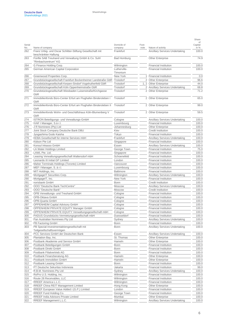| Serial     |                                                                                                                             | Domicile of                    | Foot- |                                                                       | Share<br>of<br>Capital |
|------------|-----------------------------------------------------------------------------------------------------------------------------|--------------------------------|-------|-----------------------------------------------------------------------|------------------------|
| No.        | Name of company                                                                                                             | company                        | note  | Nature of activity                                                    | in %                   |
| 262        | Franz Urbig- und Oscar Schlitter-Stiftung Gesellschaft mit<br>beschränkter Haftung                                          | Frankfurt                      |       | <b>Ancillary Services Undertaking</b>                                 | 100.0                  |
| 263        | Fünfte SAB Treuhand und Verwaltung GmbH & Co. Suhl<br>"Rimbachzentrum" KG                                                   | <b>Bad Homburg</b>             |       | <b>Other Enterprise</b>                                               | 74.9                   |
| 264        | G Finance Holding Corp.                                                                                                     | Wilmington                     |       | <b>Financial Institution</b>                                          | 100.0                  |
| 265        | German American Capital Corporation                                                                                         | Lutherville-                   |       | <b>Financial Institution</b>                                          | 100.0                  |
|            |                                                                                                                             | Timonium                       |       |                                                                       |                        |
| 266        | Greenwood Properties Corp.                                                                                                  | New York                       | 1.    | <b>Financial Institution</b><br>2 Other Enterprise                    | 0.0                    |
| 267<br>268 | Grundstücksgesellschaft Frankfurt Bockenheimer Landstraße GbR<br>Grundstücksgesellschaft Kerpen-Sindorf Vogelrutherfeld GbR | Troisdorf<br>Troisdorf         |       | 1, 2 Other Enterprise                                                 | 96.6<br>44.0           |
| 269        | Grundstücksgesellschaft Köln Oppenheimstraße GbR                                                                            | Troisdorf                      |       | 2 Ancillary Services Undertaking                                      | 68.8                   |
| 270        | Grundstücksgesellschaft Wiesbaden Luisenstraße/Kirchgasse<br>GbR                                                            | Troisdorf                      |       | 2 Other Enterprise                                                    | 71.2                   |
| 271        | Immobilienfonds Büro-Center Erfurt am Flughafen Bindersleben I                                                              | Troisdorf                      |       | 2 Other Enterprise                                                    | 65.0                   |
| 272        | GbR<br>Immobilienfonds Büro-Center Erfurt am Flughafen Bindersleben II                                                      | Troisdorf                      |       | 2 Other Enterprise                                                    | 99.0                   |
| 273        | GbR<br>Immobilienfonds Wohn- und Geschäftshaus Köln-Blumenberg V<br>GbR                                                     | Troisdorf                      |       | 2 Other Enterprise                                                    | 59.5                   |
| 274        | ISTRON Beteiligungs- und Verwaltungs-GmbH                                                                                   | Cologne                        |       | Ancillary Services Undertaking                                        | 100.0                  |
| 275        | IVAF I Manager, S.à r.l.                                                                                                    | Luxembourg                     |       | <b>Financial Institution</b>                                          | 100.0                  |
| 276        | J R Nominees (Pty) Ltd                                                                                                      | Johannesburg                   |       | Other Enterprise                                                      | 100.0                  |
| 277        | Joint Stock Company Deutsche Bank DBU                                                                                       | Kiev                           |       | <b>Credit Institution</b>                                             | 100.0                  |
| 278        | Jyogashima Godo Kaisha                                                                                                      | Tokyo                          |       | <b>Financial Institution</b>                                          | 100.0                  |
| 279        | KEBA Gesellschaft für interne Services mbH                                                                                  | Frankfurt                      |       | <b>Ancillary Services Undertaking</b>                                 | 100.0                  |
| 280        | Kidson Pte Ltd                                                                                                              | Singapore                      |       | <b>Financial Institution</b>                                          | 100.0                  |
| 281        | Konsul Inkasso GmbH                                                                                                         | Essen                          |       | <b>Ancillary Services Undertaking</b>                                 | 100.0                  |
| 282        | LA Water Holdings Limited                                                                                                   | George Town                    |       | Financial Institution                                                 | 75.0                   |
| 283        | LAWL Pte. Ltd.                                                                                                              | Singapore                      |       | Financial Institution                                                 | 100.0                  |
| 284        | Leasing Verwaltungsgesellschaft Waltersdorf mbH                                                                             | Schoenefeld                    |       | Financial Institution                                                 | 100.0                  |
| 285        | Leonardo III Initial GP Limited                                                                                             | London                         |       | Financial Institution                                                 | 100.0                  |
| 286        | Maher Terminals Holdings (Toronto) Limited                                                                                  | Vancouver                      |       | Financial Institution                                                 | 100.0                  |
| 287        | MEF I Manager, S. à r.l.                                                                                                    | Luxembourg                     |       | Financial Institution                                                 | 100.0                  |
| 288<br>289 | MIT Holdings, Inc.<br>MortgageIT Securities Corp.                                                                           | <b>Baltimore</b><br>Wilmington |       | Financial Institution<br>Ancillary Services Undertaking               | 100.0<br>100.0         |
| 290        | MortgageIT, Inc.                                                                                                            | New York                       |       | Financial Institution                                                 | 100.0                  |
| 291        | norisbank GmbH                                                                                                              | Bonn                           |       | <b>Credit Institution</b>                                             | 100.0                  |
| 292        | OOO "Deutsche Bank TechCentre"                                                                                              | Moscow                         |       | Ancillary Services Undertaking                                        | 100.0                  |
| 293        | OOO "Deutsche Bank"                                                                                                         | Moscow                         |       | <b>Credit Institution</b>                                             | 100.0                  |
| 294        | OPB Verwaltungs- und Treuhand GmbH                                                                                          | Cologne                        |       | Financial Institution                                                 | 100.0                  |
| 295        | OPB-Oktava GmbH                                                                                                             | Cologne                        |       | <b>Financial Institution</b>                                          | 100.0                  |
| 296        | OPB-Quarta GmbH                                                                                                             | Cologne                        |       | <b>Financial Institution</b>                                          | 100.0                  |
| 297        | OPPENHEIM Capital Advisory GmbH                                                                                             | Cologne                        |       | Financial Institution                                                 | 100.0                  |
| 298        | OPPENHEIM PRIVATE EQUITY Manager GmbH                                                                                       | Cologne                        |       | Financial Institution                                                 | 100.0                  |
| 299        | OPPENHEIM PRIVATE EQUITY Verwaltungsgesellschaft mbH                                                                        | Cologne                        |       | Financial Institution                                                 | 100.0                  |
| 300        | PADUS Grundstücks-Vermietungsgesellschaft mbH                                                                               | Duesseldorf                    |       | <b>Financial Institution</b>                                          | 100.0                  |
| 301        | Pan Australian Nominees Pty Ltd                                                                                             | Sydney                         |       | <b>Ancillary Services Undertaking</b>                                 | 100.0                  |
| 302<br>303 | PB Factoring GmbH<br>PB Spezial-Investmentaktiengesellschaft mit<br>Teilgesellschaftsvermögen                               | Bonn<br>Bonn                   |       | <b>Financial Institution</b><br><b>Ancillary Services Undertaking</b> | 100.0<br>100.0         |
| 304        | PCC Services GmbH der Deutschen Bank                                                                                        | Essen                          |       | Ancillary Services Undertaking                                        | 100.0                  |
| 305        | Plantation Bay, Inc.                                                                                                        | St. Thomas                     |       | <b>Other Enterprise</b>                                               | 100.0                  |
| 306        | Postbank Akademie und Service GmbH                                                                                          | Hameln                         |       | Other Enterprise                                                      | 100.0                  |
| 307        | Postbank Beteiligungen GmbH                                                                                                 | Bonn                           |       | <b>Financial Institution</b>                                          | 100.0                  |
| 308        | Postbank Direkt GmbH                                                                                                        | Bonn                           |       | Financial Institution                                                 | 100.0                  |
| 309        | Postbank Filialvertrieb AG                                                                                                  | Bonn                           |       | Financial Institution                                                 | 100.0                  |
| 310        | Postbank Finanzberatung AG                                                                                                  | Hameln                         |       | <b>Other Enterprise</b>                                               | 100.0                  |
| 311        | Postbank Immobilien GmbH                                                                                                    | Hameln                         |       | Other Enterprise                                                      | 100.0                  |
| 312        | Postbank Leasing GmbH                                                                                                       | Bonn                           |       | Financial Institution                                                 | 100.0                  |
| 313        | PT Deutsche Sekuritas Indonesia                                                                                             | Jakarta                        |       | Financial Institution                                                 | 99.0                   |
| 314        | R.B.M. Nominees Pty Ltd                                                                                                     | Sydney                         |       | Ancillary Services Undertaking                                        | 100.0                  |
| 315        | RoPro U.S. Holding, Inc.                                                                                                    | Wilmington                     |       | <b>Financial Institution</b>                                          | 100.0                  |
| 316        | Route 28 Receivables, LLC                                                                                                   | Wilmington                     |       | Financial Institution                                                 | 100.0                  |
| 317        | RREEF America L.L.C.                                                                                                        | Wilmington                     |       | <b>Financial Institution</b>                                          | 100.0                  |
| 318        | RREEF China REIT Management Limited                                                                                         | Hong Kong                      |       | Other Enterprise                                                      | 100.0                  |
| 319        | RREEF European Value Added I (G.P.) Limited                                                                                 | London                         |       | <b>Financial Institution</b>                                          | 100.0                  |
| 320        | RREEF Fund Holding Co.<br>RREEF India Advisors Private Limited                                                              | George Town                    |       | <b>Financial Institution</b>                                          | 100.0                  |
| 321<br>322 | RREEF Management L.L.C.                                                                                                     | Mumbai<br>Wilmington           |       | <b>Other Enterprise</b><br>Ancillary Services Undertaking             | 100.0<br>100.0         |
|            |                                                                                                                             |                                |       |                                                                       |                        |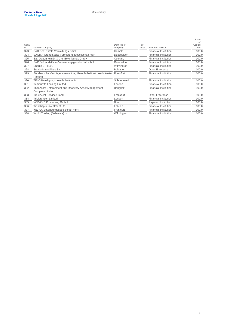|               |                                                                         |                        |               |                              | Share<br>nf       |
|---------------|-------------------------------------------------------------------------|------------------------|---------------|------------------------------|-------------------|
| Serial<br>No. | Name of company                                                         | Domicile of<br>company | Foot-<br>note | Nature of activity           | Capital<br>in $%$ |
| 323           | SAB Real Estate Verwaltungs GmbH                                        | Hameln                 |               | <b>Financial Institution</b> | 100.0             |
| 324           | SAGITA Grundstücks-Vermietungsgesellschaft mbH                          | Duesseldorf            |               | <b>Financial Institution</b> | 100.0             |
| 325           | Sal. Oppenheim jr. & Cie. Beteiligungs GmbH                             | Cologne                |               | <b>Financial Institution</b> | 100.0             |
| 326           | SAPIO Grundstücks-Vermietungsgesellschaft mbH                           | Duesseldorf            |               | <b>Financial Institution</b> | 100.0             |
| 327           | Sharps SP I LLC                                                         | Wilmington             |               | <b>Financial Institution</b> | 100.0             |
| 328           | Stelvio Immobiliare S.r.l.                                              | Bolzano                |               | Other Enterprise             | 100.0             |
| 329           | Süddeutsche Vermögensverwaltung Gesellschaft mit beschränkter Frankfurt |                        |               | <b>Financial Institution</b> | 100.0             |
| 330           | Haftung<br>TELO Beteiligungsgesellschaft mbH                            | Schoenefeld            |               | <b>Financial Institution</b> | 100.0             |
| 331           | <b>Tempurrite Leasing Limited</b>                                       | London                 |               | <b>Financial Institution</b> | 100.0             |
| 332           | Thai Asset Enforcement and Recovery Asset Management<br>Company Limited | Bangkok                |               | <b>Financial Institution</b> | 100.0             |
| 333           | Treuinvest Service GmbH                                                 | Frankfurt              |               | Other Enterprise             | 100.0             |
| 334           | <b>Triplereason Limited</b>                                             | London                 |               | <b>Financial Institution</b> | 100.0             |
| 335           | VÖB-ZVD Processing GmbH                                                 | <b>Bonn</b>            |               | Payment Institution          | 100.0             |
| 336           | Wealthspur Investment Ltd.                                              | Labuan                 |               | <b>Financial Institution</b> | 100.0             |
| 337           | WEPLA Beteiligungsgesellschaft mbH                                      | Frankfurt              |               | <b>Financial Institution</b> | 100.0             |
| 338           | World Trading (Delaware) Inc.                                           | Wilmington             |               | <b>Financial Institution</b> | 100.0             |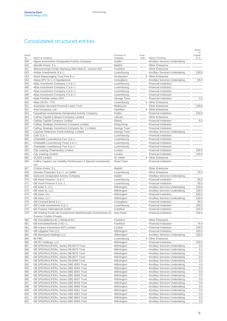### Consolidated structured entities

|               |                                                                                            |                           |                |                                                                         | Share                   |
|---------------|--------------------------------------------------------------------------------------------|---------------------------|----------------|-------------------------------------------------------------------------|-------------------------|
| Serial<br>No. | Name of company                                                                            | Domicile of<br>company    | Foot-<br>note  | Nature of activity                                                      | of<br>Capital<br>in $%$ |
| 339           | Alguer Inversiones Designated Activity Company                                             | Dublin                    |                | <b>Ancillary Services Undertaking</b>                                   |                         |
| 340           | Alixville Invest, S.L.                                                                     | Madrid                    |                | <b>Other Enterprise</b>                                                 |                         |
| 341           | Altersvorsorge Fonds Hamburg Alter Wall Dr. Juncker KG                                     | Frankfurt                 |                | <b>Other Enterprise</b>                                                 |                         |
| 342           | Amber Investments S.à r.l.                                                                 | Luxembourg                |                | <b>Ancillary Services Undertaking</b>                                   | 100.0                   |
| 343           | Asset Repackaging Trust Five B.V.                                                          | Amsterdam                 | $\overline{4}$ | Other Enterprise                                                        |                         |
| 344           | Atena SPV S.r.l. in liquidazione                                                           | Conegliano                |                | <b>Ancillary Services Undertaking</b>                                   | 60.0                    |
| 345           | Atlas Investment Company 1 S.à r.l.                                                        | Luxembourg                |                | <b>Financial Institution</b>                                            |                         |
| 346           | Atlas Investment Company 2 S.à r.l.                                                        | Luxembourg                |                | <b>Financial Institution</b>                                            |                         |
| 347           | Atlas Investment Company 3 S.à r.l.                                                        | Luxembourg                |                | <b>Financial Institution</b><br><b>Financial Institution</b>            |                         |
| 348<br>349    | Atlas Investment Company 4 S.à r.l.<br>Atlas Portfolio Select SPC                          | Luxembourg<br>George Town |                | <b>Financial Institution</b>                                            | 0.0                     |
| 350           | Atlas SICAV - FIS                                                                          | Luxembourg                |                | 4 Other Enterprise                                                      |                         |
| 351           | Australian Secured Personal Loans Trust                                                    | Melbourne                 |                | <b>Other Enterprise</b>                                                 | 100.0                   |
| 352           | Axia Insurance, Ltd.                                                                       | Hamilton                  | 4              | <b>Other Enterprise</b>                                                 |                         |
| 353           | Carpathian Investments Designated Activity Company                                         | Dublin                    |                | <b>Financial Institution</b>                                            | 100.0                   |
| 354           | Cathay Capital (Labuan) Company Limited                                                    | Labuan                    |                | <b>Other Enterprise</b>                                                 |                         |
| 355           | Cathay Capital Company Limited                                                             | Ebène                     |                | Financial Institution                                                   | 9.5                     |
| 356           | Cathay Strategic Investment Company Limited                                                | Hong Kong                 |                | Financial Institution                                                   |                         |
| 357           | Cathay Strategic Investment Company No. 2 Limited                                          | George Town               |                | <b>Financial Institution</b>                                            |                         |
| 358           | Cayman Reference Fund Holdings Limited                                                     | George Town               |                | <b>Ancillary Services Undertaking</b>                                   |                         |
| 359           | Ceto S.à r.l.                                                                              | Luxembourg                |                | <b>Financial Institution</b>                                            |                         |
| 360           | Charitable Luxembourg Four S.à r.l.                                                        | Luxembourg                |                | <b>Financial Institution</b>                                            |                         |
| 361           | Charitable Luxembourg Three S.à r.l.                                                       | Luxembourg                |                | <b>Financial Institution</b>                                            |                         |
| 362           | Charitable Luxembourg Two S.à r.l.                                                         | Luxembourg                |                | <b>Financial Institution</b>                                            |                         |
| 363           | City Leasing (Thameside) Limited                                                           | London                    |                | <b>Financial Institution</b>                                            | 100.0                   |
| 364           | <b>City Leasing Limited</b>                                                                | London                    | 4              | <b>Financial Institution</b>                                            | 100.0                   |
| 365<br>366    | <b>CLASS Limited</b><br>Collins Capital Low Volatility Performance II Special Investments, | St. Helier<br>Road Town   |                | <b>Other Enterprise</b><br><b>Financial Institution</b>                 |                         |
|               | Ltd.                                                                                       |                           |                |                                                                         |                         |
| 367           | Crofton Invest, S.L.                                                                       | Madrid                    |                | <b>Other Enterprise</b>                                                 |                         |
| 368           | Danube Properties S.à r.l., en faillite                                                    | Luxembourg                |                | Other Enterprise                                                        | 25.0                    |
| 369           | Dariconic Designated Activity Company                                                      | Dublin                    |                | <b>Ancillary Services Undertaking</b>                                   |                         |
| 370           | DB Asset Finance I S.à r.l.                                                                | Luxembourg                |                | <b>Financial Institution</b>                                            | 95.0                    |
| 371           | DB Asset Finance II S.à r.l.                                                               | Luxembourg                |                | <b>Financial Institution</b>                                            | 95.0                    |
| 372           | DB Aster II, LLC                                                                           | Wilmington                |                | <b>Ancillary Services Undertaking</b>                                   | 100.0                   |
| 373<br>374    | DB Aster III, LLC<br>DB Aster, Inc.                                                        | Wilmington<br>Wilmington  |                | <b>Ancillary Services Undertaking</b><br>Financial Institution          | 100.0<br>100.0          |
| 375           | DB Aster, LLC                                                                              | Wilmington                |                | Ancillary Services Undertaking                                          | 100.0                   |
| 376           | DB Covered Bond S.r.l.                                                                     | Conegliano                |                | Financial Institution                                                   | 90.0                    |
| 377           | DB Credit Investments S.à r.l.                                                             | Luxembourg                |                | <b>Financial Institution</b>                                            | 100.0                   |
| 378           | DB Finance International GmbH                                                              | Frankfurt                 |                | <b>Financial Institution</b>                                            | 100.0                   |
| 379           | DB Holding Fundo de Investimento Multimercado Investimento no<br>Exterior Crédito Privado  | Sao Paulo                 |                | <b>Financial Institution</b>                                            | 100.0                   |
| 380           | DB Immobilienfonds 1 Wieland KG                                                            | Frankfurt                 |                | <b>Other Enterprise</b>                                                 |                         |
| 381           | DB Immobilienfonds 2 KG i.L.                                                               | Frankfurt                 |                | <b>Financial Institution</b>                                            | 74.0                    |
| 382           | DB Impact Investment (GP) Limited                                                          | London                    |                | <b>Financial Institution</b>                                            | 100.0                   |
| 383           | <b>DB Litigation Fee LLC</b>                                                               | Wilmington                |                | Financial Institution                                                   | 100.0                   |
| 384           | DB Municipal Holdings LLC                                                                  | Wilmington                |                | <b>Ancillary Services Undertaking</b>                                   | 100.0                   |
| 385           | db PBC                                                                                     | Luxembourg                | $\overline{4}$ | <b>Other Enterprise</b>                                                 |                         |
| 386           | DB RC Holdings, LLC                                                                        | Wilmington                |                | <b>Financial Institution</b>                                            | 100.0                   |
| 387           | DB SPEARs/LIFERs, Series DB-8074 Trust                                                     | Wilmington                |                | <b>Ancillary Services Undertaking</b>                                   | 0.0                     |
| 388           | DB SPEARs/LIFERs, Series DB-8075 Trust                                                     | Wilmington                |                | Ancillary Services Undertaking                                          | 0.1                     |
| 389           | DB SPEARs/LIFERs, Series DB-8076 Trust                                                     | Wilmington                |                | <b>Ancillary Services Undertaking</b>                                   | 0.0                     |
| 390           | DB SPEARs/LIFERs, Series DB-8077 Trust                                                     | Wilmington                |                | <b>Ancillary Services Undertaking</b>                                   | 0.0                     |
| 391           | DB SPEARs/LIFERs, Series DB-8080 Trust                                                     | Wilmington                |                | <b>Ancillary Services Undertaking</b>                                   | 0.0                     |
| 392<br>393    | DB SPEARs/LIFERs, Series DBE-8052 Trust<br>DB SPEARs/LIFERs, Series DBE-8054 Trust         | Wilmington<br>Wilmington  |                | <b>Ancillary Services Undertaking</b><br>Ancillary Services Undertaking | 0.0<br>0.0              |
| 394           | DB SPEARs/LIFERs, Series DBE-8055 Trust                                                    | Wilmington                |                | Ancillary Services Undertaking                                          | 0.0                     |
| 395           | DB SPEARs/LIFERs, Series DBE-8056 Trust                                                    | Wilmington                |                | <b>Ancillary Services Undertaking</b>                                   | 0.0                     |
| 396           | DB SPEARs/LIFERs, Series DBE-8057 Trust                                                    | Wilmington                |                | Ancillary Services Undertaking                                          | 0.0                     |
| 397           | DB SPEARs/LIFERs, Series DBE-8059 Trust                                                    | Wilmington                |                | <b>Ancillary Services Undertaking</b>                                   | 0.0                     |
| 398           | DB SPEARs/LIFERs, Series DBE-8060 Trust                                                    | Wilmington                |                | <b>Ancillary Services Undertaking</b>                                   | 0.0                     |
| 399           | DB SPEARs/LIFERs, Series DBE-8061 Trust                                                    | Wilmington                |                | <b>Ancillary Services Undertaking</b>                                   | 0.0                     |
| 400           | DB SPEARs/LIFERs, Series DBE-8062 Trust                                                    | Wilmington                |                | <b>Ancillary Services Undertaking</b>                                   | 0.0                     |
| 401           | DB SPEARs/LIFERs, Series DBE-8063 Trust                                                    | Wilmington                |                | <b>Ancillary Services Undertaking</b>                                   | 0.0                     |
| 402           | DB SPEARs/LIFERs, Series DBE-8064 Trust                                                    | Wilmington                |                | Ancillary Services Undertaking                                          | 0.0                     |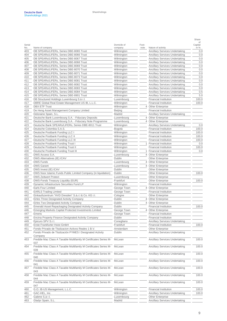|            |                                                                                    |                          |                |                                                                                | Share         |
|------------|------------------------------------------------------------------------------------|--------------------------|----------------|--------------------------------------------------------------------------------|---------------|
| Serial     |                                                                                    | Domicile of              | Foot-          |                                                                                | οf<br>Capital |
| No.        | Name of company                                                                    | company                  | note           | Nature of activity                                                             | in %          |
| 403        | DB SPEARs/LIFERs, Series DBE-8065 Trust                                            | Wilmington               |                | <b>Ancillary Services Undertaking</b>                                          | 0.0           |
| 404<br>405 | DB SPEARs/LIFERs, Series DBE-8066 Trust<br>DB SPEARs/LIFERs, Series DBE-8067 Trust | Wilmington<br>Wilmington |                | <b>Ancillary Services Undertaking</b><br><b>Ancillary Services Undertaking</b> | 0.0<br>0.0    |
| 406        | DB SPEARs/LIFERs, Series DBE-8068 Trust                                            | Wilmington               |                | <b>Ancillary Services Undertaking</b>                                          | 0.0           |
| 407        | DB SPEARs/LIFERs, Series DBE-8069 Trust                                            | Wilmington               |                | <b>Ancillary Services Undertaking</b>                                          | 0.0           |
| 408        | DB SPEARs/LIFERs, Series DBE-8070 Trust                                            | Wilmington               |                | <b>Ancillary Services Undertaking</b>                                          | 0.0           |
| 409        | DB SPEARs/LIFERs, Series DBE-8071 Trust                                            | Wilmington               |                | <b>Ancillary Services Undertaking</b>                                          | 0.0           |
| 410        | DB SPEARs/LIFERs, Series DBE-8073 Trust                                            | Wilmington               |                | <b>Ancillary Services Undertaking</b>                                          | 0.0           |
|            | DB SPEARs/LIFERs, Series DBE-8081 Trust                                            | Wilmington               |                | <b>Ancillary Services Undertaking</b>                                          | 0.0           |
| 411<br>412 | DB SPEARs/LIFERs, Series DBE-8082 Trust                                            | Wilmington               |                | <b>Ancillary Services Undertaking</b>                                          | 0.0           |
|            |                                                                                    |                          |                |                                                                                | 0.0           |
| 413<br>414 | DB SPEARs/LIFERs, Series DBE-8083 Trust<br>DB SPEARs/LIFERs, Series DBE-8084 Trust | Wilmington               |                | Ancillary Services Undertaking<br><b>Ancillary Services Undertaking</b>        | 0.5           |
| 415        | DB SPEARs/LIFERs, Series DBE-8901 Trust                                            | Wilmington<br>Wilmington |                |                                                                                | 5.0           |
|            | DB Structured Holdings Luxembourg S.à r.l.                                         |                          |                | Ancillary Services Undertaking<br><b>Financial Institution</b>                 | 100.0         |
| 416        | DBRE Global Real Estate Management US IB, L.L.C.                                   | Luxembourg               |                | <b>Financial Institution</b>                                                   | 100.0         |
| 417        |                                                                                    | Wilmington               |                |                                                                                |               |
| 418        | <b>DBX ETF Trust</b>                                                               | Wilmington               | $\overline{4}$ | <b>Other Enterprise</b>                                                        |               |
| 419        | De Heng Asset Management Company Limited                                           | Beijing                  |                | <b>Financial Institution</b>                                                   |               |
| 420        | Deloraine Spain, S.L.<br>Deutsche Bank Luxembourg S.A. - Fiduciary Deposits        | Madrid                   |                | <b>Ancillary Services Undertaking</b>                                          |               |
| 421        |                                                                                    | Luxembourg               | 4              | <b>Other Enterprise</b>                                                        |               |
| 422        | Deutsche Bank Luxembourg S.A. - Fiduciary Note Programme                           | Luxembourg               | $\overline{4}$ | <b>Other Enterprise</b>                                                        |               |
| 423        | Deutsche Bank SPEARs/LIFERs, Series DBE-8011 Trust                                 | Wilmington               |                | <b>Ancillary Services Undertaking</b>                                          | 0.0           |
| 424        | Deutsche Colombia S.A.S.                                                           | Bogotá                   |                | <b>Financial Institution</b>                                                   | 100.0         |
| 425        | Deutsche Postbank Funding LLC I                                                    | Wilmington               |                | <b>Financial Institution</b>                                                   | 100.0         |
| 426        | Deutsche Postbank Funding LLC II                                                   | Wilmington               |                | <b>Financial Institution</b>                                                   | 100.0         |
| 427        | Deutsche Postbank Funding LLC III                                                  | Wilmington               |                | <b>Financial Institution</b>                                                   | 100.0         |
| 428        | Deutsche Postbank Funding Trust I                                                  | Wilmington               | 1              | <b>Financial Institution</b>                                                   | 0.0           |
| 429        | Deutsche Postbank Funding Trust II                                                 | Wilmington               |                | <b>Financial Institution</b>                                                   | 100.0         |
| 430        | Deutsche Postbank Funding Trust III                                                | Wilmington               | 1              | <b>Financial Institution</b>                                                   | 0.0           |
| 431        | DWS Access S.A.                                                                    | Luxembourg               | $\overline{4}$ | <b>Other Enterprise</b>                                                        |               |
| 432        | DWS Alternatives (IE) ICAV                                                         | Dublin                   |                | <b>Other Enterprise</b>                                                        |               |
| 433        | <b>DWS Funds</b>                                                                   | Luxembourg               | $\overline{4}$ | <b>Other Enterprise</b>                                                        |               |
| 434        | <b>DWS Garant</b>                                                                  | Luxembourg               | 4              | <b>Other Enterprise</b>                                                        |               |
| 435        | DWS Invest (IE) ICAV                                                               | Dublin                   |                | <b>Other Enterprise</b>                                                        |               |
| 436        | DWS Noor Islamic Funds Public Limited Company (in liquidation)                     | Dublin                   |                | <b>Other Enterprise</b>                                                        | 100.0         |
| 437        | <b>DWS Zeitwert Protect</b>                                                        | Luxembourg               |                | <b>Other Enterprise</b>                                                        |               |
| 438        | DWS-Fonds Treasury Liquidity (EUR)                                                 | Frankfurt                |                | <b>Other Enterprise</b>                                                        | 100.0         |
| 439        | Dynamic Infrastructure Securities Fund LP                                          | Wilmington               |                | <b>Financial Institution</b>                                                   |               |
| 440        | Earls Four Limited                                                                 | George Town              | $\overline{4}$ | <b>Other Enterprise</b>                                                        |               |
| 441        | <b>EARLS Trading Limited</b>                                                       | George Town              |                | <b>Financial Institution</b>                                                   |               |
| 442        | Einkaufszentrum "HVD Dresden" S.à.r.I & Co. KG i.I.                                | Cologne                  |                | <b>Other Enterprise</b>                                                        |               |
| 443        | Eirles Three Designated Activity Company                                           | Dublin                   | 4              | <b>Other Enterprise</b>                                                        |               |
| 444        | Eirles Two Designated Activity Company                                             | Dublin                   | $\overline{4}$ | Other Enterprise                                                               |               |
| 445        | Emerald Asset Repackaging Designated Activity Company                              | Dublin                   |                | <b>Financial Institution</b>                                                   | 100.0         |
| 446        | Emerging Markets Capital Protected Investments Limited                             | George Town              |                | 4 Other Enterprise                                                             |               |
| 447        | Emeris                                                                             | George Town              |                | <b>Financial Institution</b>                                                   |               |
| 448        | Encina Property Finance Designated Activity Company                                | Dublin                   |                | <b>Financial Institution</b>                                                   |               |
| 449        | Epicuro SPV S.r.l.                                                                 | Conegliano               |                | <b>Ancillary Services Undertaking</b>                                          |               |
| 450        | Erste Frankfurter Hoist GmbH                                                       | Frankfurt                |                | <b>Financial Institution</b>                                                   | 100.0         |
| 451        | Fondo Privado de Titulizacion Activos Reales 1 B.V.                                | Amsterdam                |                | <b>Other Enterprise</b>                                                        |               |
| 452        | Fondo Privado de Titulización PYMES I Designated Activity<br>Company               | Dublin                   |                | <b>Ancillary Services Undertaking</b>                                          |               |
| 453        | Freddie Mac Class A Taxable Multifamily M Certificates Series M-<br>037            | McLean                   |                | <b>Ancillary Services Undertaking</b>                                          | 100.0         |
| 454        | Freddie Mac Class A Taxable Multifamily M Certificates Series M-<br>039            | McLean                   |                | <b>Ancillary Services Undertaking</b>                                          | 100.0         |
| 455        | Freddie Mac Class A Taxable Multifamily M Certificates Series M-<br>040            | McLean                   |                | <b>Ancillary Services Undertaking</b>                                          | 100.0         |
| 456        | Freddie Mac Class A Taxable Multifamily M Certificates Series M-<br>041            | McLean                   |                | <b>Ancillary Services Undertaking</b>                                          | 100.0         |
| 457        | Freddie Mac Class A Taxable Multifamily M Certificates Series M-<br>043            | McLean                   |                | <b>Ancillary Services Undertaking</b>                                          | 100.0         |
| 458        | Freddie Mac Class A Taxable Multifamily M Certificates Series M-<br>044            | McLean                   |                | <b>Ancillary Services Undertaking</b>                                          | 100.0         |
| 459        | Freddie Mac Class A Taxable Multifamily M Certificates Series M-<br>047            | McLean                   |                | Ancillary Services Undertaking                                                 | 100.0         |
| 460        | G.O. IB-US Management, L.L.C.                                                      | Wilmington               |                | <b>Financial Institution</b>                                                   | 100.0         |
| 461        | GAC-HEL, Inc.                                                                      | Wilmington               |                | <b>Ancillary Services Undertaking</b>                                          | 100.0         |
| 462        | Galene S.à r.l.                                                                    | Luxembourg               |                | Other Enterprise                                                               |               |
|            |                                                                                    |                          |                |                                                                                |               |

463 Gladyr Spain, S.L. **Gladyr Spain, S.L.** Madrid **Ancillary Services Undertaking**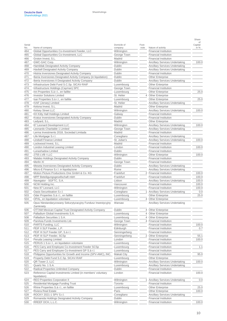| Serial<br>No. | Name of company                                                          | Domicile of<br>company | Foot-<br>note  | Nature of activity                    | οf<br>Capital<br>in % |
|---------------|--------------------------------------------------------------------------|------------------------|----------------|---------------------------------------|-----------------------|
| 464           | Global Opportunities Co-Investment Feeder, LLC                           | Wilmington             |                | <b>Financial Institution</b>          |                       |
| 465           | Global Opportunities Co-Investment, LLC                                  | George Town            |                | Financial Institution                 |                       |
| 466           | Groton Invest, S.L.                                                      | Madrid                 |                | <b>Financial Institution</b>          |                       |
| 467           | GWC-GAC Corp.                                                            | Wilmington             |                | <b>Ancillary Services Undertaking</b> | 100.0                 |
| 468           | Hamildak Designated Activity Company                                     | Dublin                 |                | <b>Ancillary Services Undertaking</b> |                       |
| 469           | Havbell Designated Activity Company                                      | Dublin                 |                | <b>Ancillary Services Undertaking</b> |                       |
| 470           | Histria Inversiones Designated Activity Company                          | Dublin                 |                | <b>Financial Institution</b>          |                       |
| 471           | Iberia Inversiones Designated Activity Company (in liquidation)          | Dublin                 |                | <b>Other Enterprise</b>               |                       |
| 472           | Iberia Inversiones II Designated Activity Company                        | Dublin                 |                | <b>Ancillary Services Undertaking</b> |                       |
| 473           | Infrastructure Debt Fund S.C.Sp. SICAV-RAIF                              | Luxembourg             |                | <b>Other Enterprise</b>               |                       |
| 474           | Infrastructure Holdings (Cayman) SPC                                     | George Town            |                | <b>Financial Institution</b>          |                       |
| 475           | Inn Properties S.à r.l., en faillite                                     | Luxembourg             |                | <b>Other Enterprise</b>               | 25.0                  |
| 476           | <b>Investor Solutions Limited</b>                                        | St. Helier             | $\overline{4}$ | Other Enterprise                      |                       |
| 477           | Isar Properties S.à r.l., en faillite                                    | Luxembourg             |                | <b>Other Enterprise</b>               | 25.0                  |
| 478           | IVAF (Jersey) Limited                                                    | St. Helier             |                | <b>Ancillary Services Undertaking</b> |                       |
| 479           | Kelona Invest, S.L.                                                      | Madrid                 |                | <b>Other Enterprise</b>               |                       |
| 480           | <b>Kelsey Street LLC</b>                                                 | Wilmington             |                | Ancillary Services Undertaking        | 100.0                 |
| 481           | KH Kitty Hall Holdings Limited                                           | Galway                 |                | <b>Financial Institution</b>          |                       |
| 482           | Kratus Inversiones Designated Activity Company                           | Dublin                 |                | <b>Financial Institution</b>          |                       |
| 483           | Ledyard, S.L.                                                            | Madrid                 |                | <b>Other Enterprise</b>               |                       |
| 484           | 87 Leonard Development LLC                                               | Wilmington             |                | <b>Ancillary Services Undertaking</b> | 100.0                 |
| 485           | Leonardo Charitable 1 Limited                                            | George Town            |                | Ancillary Services Undertaking        |                       |
| 486           | Lerma Investments 2018, Sociedad Limitada                                | Madrid                 |                | <b>Financial Institution</b>          |                       |
| 487           | Life Mortgage S.r.l.                                                     | Conegliano             |                | <b>Ancillary Services Undertaking</b> |                       |
| 488           | <b>Lindsell Finance Limited</b>                                          | St. Julian's           |                | <b>Ancillary Services Undertaking</b> | 100.0                 |
| 489           | Lockwood Invest, S.L.                                                    | Madrid                 |                | <b>Financial Institution</b>          |                       |
| 490           | London Industrial Leasing Limited                                        | London                 |                | <b>Financial Institution</b>          | 100.0                 |
| 491           | Lunashadow Limited                                                       | Dublin                 |                | Financial Institution                 |                       |
| 492           | 2755 LVB I LLC                                                           | Wilmington             |                | <b>Other Enterprise</b>               | 100.0                 |
| 493           | Malabo Holdings Designated Activity Company                              | Dublin                 |                | <b>Financial Institution</b>          |                       |
| 494           | Merlin XI                                                                | George Town            |                | <b>Financial Institution</b>          |                       |
| 495           | Meseta Inversiones Designated Activity Company                           | Dublin                 |                | <b>Ancillary Services Undertaking</b> |                       |
| 496           | Micro-E Finance S.r.l. in liquidazione                                   | Rome                   |                | <b>Ancillary Services Undertaking</b> |                       |
| 497           | Motion Picture Productions One GmbH & Co. KG                             | Frankfurt              |                | 2 Financial Institution               | 100.0                 |
| 498           | MPP Beteiligungsgesellschaft mbH                                         | Frankfurt              |                | <b>Financial Institution</b>          | 100.0                 |
| 499           | Navegator - SGFTC, S.A.                                                  | Lisbon                 |                | <b>Ancillary Services Undertaking</b> | 100.0                 |
| 500           | NCW Holding Inc.                                                         | Vancouver              |                | <b>Financial Institution</b>          | 100.0                 |
| 501           | New 87 Leonard, LLC                                                      | Wilmington             |                | <b>Financial Institution</b>          | 100.0                 |
| 502           | Oasis Securitisation S.r.l.                                              | Conegliano             |                | 1 Ancillary Services Undertaking      | 0.0                   |
| 503           | Oder Properties S.à r.l., en faillite                                    | Luxembourg             |                | Other Enterprise                      | 25.0                  |
| 504           | OPAL, en liquidation volontaire                                          | Luxembourg             |                | 4 Other Enterprise                    |                       |
| 505           | Opus Niestandaryzowany Sekurytyzacyjny Fundusz Inwestycyjny<br>Zamkniety | Warsaw                 |                | Ancillary Services Undertaking        |                       |
| 506           | OTTAM Mexican Capital Trust Designated Activity Company                  | Dublin                 |                | 4 Other Enterprise                    |                       |
| 507           | Palladium Global Investments S.A.                                        | Luxembourg             | 4              | <b>Other Enterprise</b>               |                       |
| 508           | Palladium Securities 1 S.A.                                              | Luxembourg             | 4              | <b>Other Enterprise</b>               |                       |
| 509           | PanAsia Funds Investments Ltd.                                           | George Town            | $\overline{4}$ | <b>Financial Institution</b>          |                       |
| 510           | PARTS Funding, LLC                                                       | Wilmington             |                | <b>Financial Institution</b>          | 100.0                 |
| 511           | PEIF II SLP Feeder, L.P.                                                 | Edinburgh              |                | <b>Financial Institution</b>          | 0.7                   |
| 512           | PEIF III SLP Feeder GP, S.à r.l.                                         | Senningerberg          |                | <b>Financial Institution</b>          |                       |
| 513           | PEIF III SLP Feeder, SCSp                                                | Senningerberg          | $\overline{2}$ | <b>Other Enterprise</b>               | 55.1                  |
| 514           | Peruda Leasing Limited                                                   | London                 |                | <b>Financial Institution</b>          | 100.0                 |
| 515           | PERUS 1 S.à r.l., en liquidation volontaire                              | Luxembourg             |                | Financial Institution                 |                       |
| 516           | PES Carry and Employee Co-Investment Feeder SCSp                         | Luxembourg             |                | <b>Financial Institution</b>          | 1.1                   |
| 517           | PES Carry and Employee Co-Investment GP S.à r.l.                         | Luxembourg             |                | <b>Financial Institution</b>          |                       |
| 518           | Philippine Opportunities for Growth and Income (SPV-AMC), INC.           | Makati City            |                | <b>Financial Institution</b>          | 95.0                  |
| 519           | Property Debt Fund S.C.Sp. SICAV-RAIF                                    | Luxembourg             |                | <b>Other Enterprise</b>               |                       |
| 520           | QR Tower 2, LLC                                                          | Wilmington             |                | <b>Ancillary Services Undertaking</b> | 100.0                 |
| 521           | Quartz No. 1 S.A.                                                        | Luxembourg             |                | <b>Ancillary Services Undertaking</b> |                       |
| 522           | Radical Properties Unlimited Company                                     | Dublin                 |                | <b>Financial Institution</b>          |                       |
| 523           | Reference Capital Investments Limited (in members' voluntary             | London                 |                | <b>Financial Institution</b>          | 100.0                 |
|               | liquidation)                                                             |                        |                |                                       |                       |
| 524           | REO Properties Corporation II                                            | Wilmington             |                | Ancillary Services Undertaking        | 0.0                   |
| 525           | Residential Mortgage Funding Trust                                       | Toronto                |                | <b>Financial Institution</b>          |                       |
| 526           | Rhine Properties S.à r.l., en faillite                                   | Luxembourg             |                | <b>Other Enterprise</b>               | 25.0                  |
| 527           | <b>Riviera Real Estate</b>                                               | Paris                  |                | <b>Other Enterprise</b>               | 100.0                 |
| 528           | ROCKY 2021-1 SPV S.r.l.                                                  | Conegliano             |                | Ancillary Services Undertaking        |                       |
| 529           | Romareda Holdings Designated Activity Company                            | Dublin                 |                | <b>Financial Institution</b>          |                       |
| 530           | RREEF DCH, L.L.C.                                                        | Wilmington             |                | <b>Financial Institution</b>          | 100.0                 |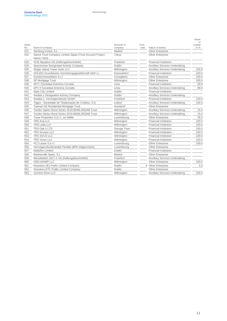|        |                                                                          |             |       |                                       | Share         |
|--------|--------------------------------------------------------------------------|-------------|-------|---------------------------------------|---------------|
| Serial |                                                                          | Domicile of | Foot- |                                       | of<br>Capital |
| No.    | Name of company                                                          | company     | note  | Nature of activity                    | in %          |
| 531    | Samburg Invest, S.L.                                                     | Madrid      |       | <b>Other Enterprise</b>               |               |
| 532    | Sanne Trust Company Limited Japan (Trust Account Project<br>Narita 7303) | Tokyo       |       | <b>Other Enterprise</b>               |               |
| 533    | SCB Alpspitze UG (haftungsbeschränkt)                                    | Frankfurt   |       | <b>Financial Institution</b>          |               |
| 534    | Seaconview Designated Activity Company                                   | Dublin      |       | <b>Ancillary Services Undertaking</b> |               |
| 535    | Singer Island Tower Suite LLC                                            | Wilmington  |       | <b>Ancillary Services Undertaking</b> | 100.0         |
| 536    | SOLIDO Grundstücks-Vermietungsgesellschaft mbH i.L.                      | Duesseldorf |       | <b>Financial Institution</b>          | 100.0         |
| 537    | Somkid Immobiliare S.r.l.                                                | Conegliano  |       | <b>Other Enterprise</b>               | 100.0         |
| 538    | SP Mortgage Trust                                                        | Wilmington  |       | <b>Other Enterprise</b>               | 100.0         |
| 539    | SPV I Sociedad Anónima Cerrada                                           | Lima        |       | <b>Financial Institution</b>          | 99.9          |
| 540    | SPV II Sociedad Anónima Cerrada                                          | Lima        |       | <b>Ancillary Services Undertaking</b> | 99.8          |
| 541    | <b>Style City Limited</b>                                                | Dublin      |       | <b>Financial Institution</b>          |               |
| 542    | Swabia 1 Designated Activity Company                                     | Dublin      |       | <b>Ancillary Services Undertaking</b> |               |
| 543    | Swabia 1. Vermögensbesitz-GmbH                                           | Frankfurt   |       | <b>Financial Institution</b>          | 100.0         |
| 544    | Tagus - Sociedade de Titularização de Creditos, S.A.                     | Lisbon      |       | <b>Ancillary Services Undertaking</b> | 100.0         |
| 545    | Tasman NZ Residential Mortgage Trust                                     | Auckland    |       | <b>Other Enterprise</b>               |               |
| 546    | Tender Option Bond Series 2019-BAML3502AB Trust                          | Wilmington  |       | <b>Ancillary Services Undertaking</b> | 15.0          |
| 547    | Tender Option Bond Series 2019-BAML3503AB Trust                          | Wilmington  |       | <b>Ancillary Services Undertaking</b> | 15.0          |
| 548    | Trave Properties S.à r.l., en faillite                                   | Luxembourg  |       | <b>Other Enterprise</b>               | 25.0          |
| 549    | <b>TRS Aria LLC</b>                                                      | Wilmington  |       | <b>Financial Institution</b>          | 100.0         |
| 550    | <b>TRS Leda LLC</b>                                                      | Wilmington  |       | <b>Financial Institution</b>          | 100.0         |
| 551    | TRS Oak II LTD                                                           | George Town |       | <b>Financial Institution</b>          | 100.0         |
| 552    | <b>TRS Scorpio LLC</b>                                                   | Wilmington  |       | <b>Financial Institution</b>          | 100.0         |
| 553    | TRS SVCO LLC                                                             | Wilmington  |       | <b>Financial Institution</b>          | 100.0         |
| 554    | <b>TRS Venor LLC</b>                                                     | Wilmington  |       | <b>Financial Institution</b>          | 100.0         |
| 555    | VCJ Lease S.à r.l.                                                       | Luxembourg  |       | <b>Other Enterprise</b>               | 100.0         |
| 556    | Vermögensfondmandat Flexible (80% teilgeschützt)                         | Luxembourg  |       | <b>Other Enterprise</b>               |               |
| 557    | <b>Waltzfire Limited</b>                                                 | Dublin      |       | <b>Financial Institution</b>          |               |
| 558    | Wedverville Spain, S.L.                                                  | Madrid      |       | Other Enterprise                      |               |
| 559    | Wendelstein 2017-1 UG (haftungsbeschränkt)                               | Frankfurt   |       | <b>Ancillary Services Undertaking</b> |               |
| 560    | 5353 WHMR LLC                                                            | Wilmington  |       | <b>Other Enterprise</b>               | 100.0         |
| 561    | Xtrackers (IE) Public Limited Company                                    | Dublin      |       | 4 Other Enterprise                    | 0.0           |
| 562    | Xtrackers ETC Public Limited Company                                     | Dublin      |       | <b>Other Enterprise</b>               |               |
| 563    | Zumirez Drive LLC                                                        | Wilmington  |       | <b>Ancillary Services Undertaking</b> | 100.0         |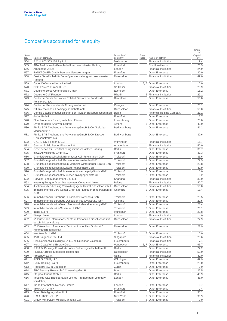## Companies accounted for at equity

|            |                                                                                                                  |                               |       |                                                              | Share         |
|------------|------------------------------------------------------------------------------------------------------------------|-------------------------------|-------|--------------------------------------------------------------|---------------|
| Serial     |                                                                                                                  | Domicile of                   | Foot- |                                                              | οf<br>Capital |
| No.        | Name of company                                                                                                  | company                       | note  | Nature of activity                                           | in %          |
| 564        | A.C.N. 603 303 126 Pty Ltd                                                                                       | Melbourne                     |       | <b>Financial Institution</b>                                 | 19.4          |
| 565        | AKA Ausfuhrkredit-Gesellschaft mit beschränkter Haftung                                                          | Frankfurt                     |       | <b>Credit Institution</b>                                    | 26.9          |
| 566        | Arabesque AI Ltd                                                                                                 | London                        |       | <b>Financial Institution</b>                                 | 24.9          |
| 567        | BANKPOWER GmbH Personaldienstleistungen                                                                          | Frankfurt                     |       | <b>Other Enterprise</b>                                      | 30.0          |
| 568        | Bestra Gesellschaft für Vermögensverwaltung mit beschränkter                                                     | Duesseldorf                   |       | <b>Financial Institution</b>                                 | 49.0          |
|            | Haftung                                                                                                          |                               |       |                                                              |               |
| 569        | Cyber Defence Alliance Limited                                                                                   | London                        | 5,6   | <b>Other Enterprise</b>                                      | 0.0           |
| 570        | DBG Eastern Europe II L.P.                                                                                       | St. Helier                    |       | <b>Financial Institution</b>                                 | 25.9          |
| 571        | Deutsche Börse Commodities GmbH                                                                                  | Eschborn                      |       | <b>Other Enterprise</b>                                      | 16.2          |
| 572        | Deutsche Gulf Finance                                                                                            | Riyadh                        |       | 5 Financial Institution                                      | 29.1          |
| 573        | Deutsche Zurich Pensiones Entidad Gestora de Fondos de                                                           | Barcelona                     |       | <b>Other Enterprise</b>                                      | 50.0          |
|            | Pensiones, S.A.                                                                                                  |                               |       |                                                              |               |
| 574        | Deutscher Pensionsfonds Aktiengesellschaft                                                                       | Cologne                       |       | <b>Other Enterprise</b>                                      | 25.1          |
| 575        | DIL Internationale Leasinggesellschaft mbH                                                                       | Duesseldorf                   |       | <b>Financial Institution</b>                                 | 50.0          |
| 576        | Domus Beteiligungsgesellschaft der Privaten Bausparkassen mbH                                                    | <b>Berlin</b>                 |       | <b>Financial Holding Company</b>                             | 21.1          |
| 577        | dwins GmbH                                                                                                       | Frankfurt                     |       | <b>Other Enterprise</b>                                      | 18.7          |
| 578        | Elbe Properties S.à r.l., en faillite clôturée                                                                   | Luxembourg                    |       | <b>Other Enterprise</b>                                      | 25.0          |
| 579        | Evroenergeiaki Anonymi Etaireia                                                                                  | Athens                        |       | 5 Other Enterprise                                           | 40.0          |
| 580        | Fünfte SAB Treuhand und Verwaltung GmbH & Co. "Leipzig-                                                          | <b>Bad Homburg</b>            |       | <b>Other Enterprise</b>                                      | 41.2          |
|            | Magdeburg" KG                                                                                                    |                               |       |                                                              |               |
| 581        | Fünfte SAB Treuhand und Verwaltung GmbH & Co. Dresden<br>"Louisenstraße" KG                                      | <b>Bad Homburg</b>            |       | <b>Other Enterprise</b>                                      | 30.6          |
| 582        | G.O. IB-SIV Feeder, L.L.C.                                                                                       | Wilmington                    |       | <b>Financial Institution</b>                                 | 15.7          |
| 583        | German Public Sector Finance B.V.                                                                                | Amsterdam                     |       | <b>Financial Institution</b>                                 | 50.0          |
| 584        | Gesellschaft für Kreditsicherung mit beschränkter Haftung                                                        | Berlin                        |       | <b>Other Enterprise</b>                                      | 36.7          |
| 585        | gixyz Abwicklungs GmbH i.L.                                                                                      | Frankfurt                     |       | Other Enterprise                                             | 33.3          |
| 586        | Grundstücksgesellschaft Bürohäuser Köln Rheinhallen GbR                                                          | Troisdorf                     | 2     | <b>Other Enterprise</b>                                      | 36.6          |
| 587        | Grundstücksgesellschaft Karlsruhe Kaiserstraße GbR                                                               | Troisdorf                     |       | 2 Other Enterprise                                           | 22.9          |
| 588        | Grundstücksgesellschaft Köln-Merheim Winterberger Straße GbR                                                     | Troisdorf                     |       | 2 Other Enterprise                                           | 20.8          |
| 589        | Grundstücksgesellschaft Leipzig Petersstraße GbR                                                                 | Troisdorf                     |       | 2 Other Enterprise                                           | 49.9          |
| 590        | Grundstücksgesellschaft Mietwohnhäuser Leipzig-Gohlis GbR                                                        | Troisdorf                     |       | 6 Other Enterprise                                           | 0.0           |
|            |                                                                                                                  | Troisdorf                     | 2     | <b>Other Enterprise</b>                                      | 16.2          |
| 591        | Grundstücksgesellschaft München Synagogenplatz GbR<br>Harvest Fund Management Co., Ltd.                          |                               |       | <b>Financial Institution</b>                                 | 30.0          |
| 592        |                                                                                                                  | Shanghai                      |       |                                                              | 40.7          |
| 593<br>594 | Huarong Rongde Asset Management Company Limited<br>ILV Immobilien-Leasing Verwaltungsgesellschaft Düsseldorf mbH | <b>Beijing</b><br>Duesseldorf | 5     | <b>Financial Institution</b><br><b>Financial Institution</b> | 50.0          |
| 595        | Immobilienfonds Büro Center Erfurt am Flughafen Bindersleben III                                                 | Chemnitz                      |       | 2 Other Enterprise                                           | 11.4          |
|            | GbR                                                                                                              |                               |       |                                                              |               |
| 596        | Immobilienfonds Bürohaus Düsseldorf Grafenberg GbR                                                               | Troisdorf                     |       | 2 Other Enterprise                                           | 28.5          |
| 597        | Immobilienfonds Bürohaus Düsseldorf Parsevalstraße GbR                                                           | Cologne                       |       | 2 Other Enterprise                                           | 20.5          |
| 598        | Immobilienfonds Köln-Deutz Arena und Mantelbebauung GbR                                                          | Troisdorf                     | 2     | <b>Other Enterprise</b>                                      | 21.4          |
| 599        | Immobilienfonds Köln-Ossendorf II GbR                                                                            | Troisdorf                     | 2     | <b>Other Enterprise</b>                                      | 20.1          |
| 600        | Ingrid S.à r.l.                                                                                                  | Munsbach                      | 5     | Other Enterprise                                             | 23.8          |
| 601        | iSwap Limited                                                                                                    | London                        |       | <b>Financial Institution</b>                                 | 14.0          |
| 602        | IZI Düsseldorf Informations-Zentrum Immobilien Gesellschaft mit<br>beschränkter Haftung                          | Duesseldorf                   |       | <b>Financial Institution</b>                                 | 22.9          |
| 603        | IZI Düsseldorf Informations-Zentrum Immobilien GmbH & Co.<br>Kommanditgesellschaft                               | Duesseldorf                   |       | <b>Other Enterprise</b>                                      | 22.9          |
| 604        | Krockow Esch GbR                                                                                                 | Troisdorf                     |       | 6 Other Enterprise                                           | 0.0           |
| 605        | KVD Singapore Pte. Ltd.                                                                                          | Singapore                     |       | <b>Financial Institution</b>                                 | 25.6          |
| 606        | Lion Residential Holdings S.à r.l., en liquidation volontaire                                                    | Luxembourg                    |       | <b>Financial Institution</b>                                 | 17.4          |
| 607        | North Coast Wind Energy Corp.                                                                                    | Vancouver                     | 5, 7  | Other Enterprise                                             | 96.7          |
| 608        | P.F.A.B. Passage Frankfurter Allee Betriebsgesellschaft mbH                                                      | Berlin                        |       | <b>Other Enterprise</b>                                      | 22.2          |
| 609        | PERILLA Beteiligungsgesellschaft mbH                                                                             | Duesseldorf                   |       | <b>Financial Institution</b>                                 | 50.0          |
|            |                                                                                                                  | Udine                         |       | 5 Financial Institution                                      | 40.0          |
| 610<br>611 | Prestipay S.p.A.<br>REDUS DTHG, LLC                                                                              |                               |       | Other Enterprise                                             | 49.9          |
| 612        | Relax Holding S.à r.l.                                                                                           | Wilmington<br>Luxembourg      |       | Other Enterprise                                             | 20.0          |
|            |                                                                                                                  |                               |       |                                                              |               |
| 613        | Robuterra AG in Liquidation                                                                                      | Zurich                        |       | 6 Other Enterprise                                           | 0.0           |
| 614        | SRC Security Research & Consulting GmbH                                                                          | Bonn                          |       | Other Enterprise                                             | 22.5          |
| 615        | Starpool Finanz GmbH                                                                                             | <b>Berlin</b>                 |       | Other Enterprise                                             | 49.9          |
| 616        | Teesside Gas Transportation Limited (in members' voluntary<br>liquidation)                                       | London                        |       | <b>Other Enterprise</b>                                      | 48.0          |
| 617        | Trade Information Network Limited                                                                                | London                        | 5     | Other Enterprise                                             | 16.7          |
| 618        | <b>TRAXPAY GmbH</b>                                                                                              | Frankfurt                     |       | <b>Other Enterprise</b>                                      | 2.4           |
| 619        | Triton Beteiligungs GmbH i.L.                                                                                    | Frankfurt                     |       | Other Enterprise                                             | 33.1          |
| 620        | U.S.A. ITCF XCI L.P.                                                                                             | New York                      | 7     | <b>Other Enterprise</b>                                      | 99.9          |
| 621        | UKEM Motoryacht Medici Mangusta GbR                                                                              | Troisdorf                     |       | 6 Other Enterprise                                           | 0.0           |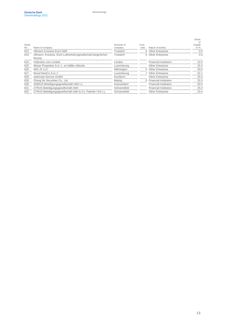| Name of company                                                        | Domicile of<br>company | Foot-<br>note | Nature of activity           | Share<br>0t<br>Capital<br>in $%$                                                           |
|------------------------------------------------------------------------|------------------------|---------------|------------------------------|--------------------------------------------------------------------------------------------|
| Ullmann Krockow Esch GbR                                               | Troisdorf              |               |                              | 0. <sub>C</sub>                                                                            |
| Ullmann, Krockow, Esch Luftverkehrsgesellschaft bürgerlichen<br>Rechts | Troisdorf              |               |                              | 0. <sub>C</sub>                                                                            |
| Volbroker.com Limited                                                  | London                 |               | <b>Financial Institution</b> | 22.5                                                                                       |
| Weser Properties S.à r.l., en faillite clôturée                        | Luxembourg             |               | <b>Other Enterprise</b>      | 25.0                                                                                       |
| WIS JV LLC                                                             | Wilmington             |               |                              | 50 <sub>0</sub>                                                                            |
| Wood NewCo S.à r.l.                                                    | Luxembourg             |               |                              | 52.1                                                                                       |
| zeitinvest-Service GmbH                                                | Eschborn               |               | Other Enterprise             | 25.0                                                                                       |
| Zhong De Securities Co., Ltd.                                          | <b>Beijing</b>         |               | <b>Financial Institution</b> | 33.3                                                                                       |
| ZINDUS Beteiligungsgesellschaft mbH i.L.                               | Duesseldorf            |               | <b>Financial Institution</b> | 50 <sub>0</sub>                                                                            |
| ZYRUS Beteiligungsgesellschaft mbH                                     | Schoenefeld            |               | <b>Financial Institution</b> | 25.0                                                                                       |
| ZYRUS Beteiligungsgesellschaft mbH & Co. Patente I KG i.L.             | Schoenefeld            |               | <b>Other Enterprise</b>      | 20.4                                                                                       |
|                                                                        |                        |               |                              | 6 Other Enterprise<br>6 Other Enterprise<br>5 Other Enterprise<br>7 Other Enterprise<br>5. |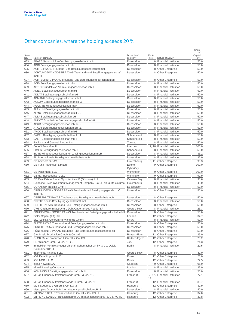## Other companies, where the holding exceeds 20 %

|            |                                                                                                      |                            |       |                                                    | Share         |
|------------|------------------------------------------------------------------------------------------------------|----------------------------|-------|----------------------------------------------------|---------------|
| Serial     |                                                                                                      | Domicile of                | Foot- |                                                    | of<br>Capital |
| No.        | Name of company                                                                                      | company                    | note  | Nature of activity                                 | in %          |
| 633        | ABATE Grundstücks-Vermietungsgesellschaft mbH                                                        | Duesseldorf                |       | 8 Financial Institution                            | 50.0          |
| 634        | ABRI Beteiligungsgesellschaft mbH                                                                    | Duesseldorf                | 8     | <b>Financial Institution</b>                       | 50.0          |
| 635        | ACHTE PAXAS Treuhand- und Beteiligungsgesellschaft mbH                                               | Duesseldorf                | 8     | <b>Other Enterprise</b>                            | 50.0          |
| 636        | ACHTUNDZWANZIGSTE PAXAS Treuhand- und Beteiligungsgesellschaft<br>mbH i.L.                           | Duesseldorf                |       | 8 Other Enterprise                                 | 50.0          |
| 637        | ACHTZEHNTE PAXAS Treuhand- und Beteiligungsgesellschaft mbH                                          | Duesseldorf                | 8     | <b>Other Enterprise</b>                            | 50.0          |
| 638        | ACIS Beteiligungsgesellschaft mbH                                                                    | Duesseldorf                | 8     | <b>Financial Institution</b>                       | 50.0          |
| 639        | ACTIO Grundstücks-Vermietungsgesellschaft mbH                                                        | Duesseldorf                | 8     | <b>Financial Institution</b>                       | 50.0          |
| 640        | ADEO Beteiligungsgesellschaft mbH                                                                    | Duesseldorf                | 8     | <b>Financial Institution</b>                       | 50.0          |
| 641        | ADLAT Beteiligungsgesellschaft mbH                                                                   | Duesseldorf                | 8     | <b>Financial Institution</b>                       | 50.0          |
| 642        | ADMANU Beteiligungsgesellschaft mbH                                                                  | Duesseldorf                | 8     | <b>Financial Institution</b>                       | 50.0          |
| 643        | AGLOM Beteiligungsgesellschaft mbH i.L.                                                              | Duesseldorf                | 8     | <b>Financial Institution</b>                       | 50.0          |
| 644        | AGUM Beteiligungsgesellschaft mbH                                                                    | Duesseldorf                | 8     | <b>Financial Institution</b>                       | 50.0          |
| 645        | ALANUM Beteiligungsgesellschaft mbH                                                                  | Duesseldorf                | 8     | <b>Financial Institution</b>                       | 50.0          |
| 646        | ALMO Beteiligungsgesellschaft mbH i.L.                                                               | Duesseldorf                | 8     | <b>Financial Institution</b>                       | 50.0          |
| 647        | ALTA Beteiligungsgesellschaft mbH                                                                    | Duesseldorf                | 8     | <b>Financial Institution</b>                       | 50.0          |
| 648        | ANDOT Grundstücks-Vermietungsgesellschaft mbH                                                        | Duesseldorf                | 8     | <b>Financial Institution</b>                       | 50.0          |
| 649        | APUR Beteiligungsgesellschaft mbH i.L.                                                               | Duesseldorf                | 8     | <b>Financial Institution</b>                       | 50.0          |
| 650        | ATAUT Beteiligungsgesellschaft mbH i.L.                                                              | Duesseldorf                | 8     | <b>Financial Institution</b>                       | 50.0          |
| 651        | AVOC Beteiligungsgesellschaft mbH                                                                    | Duesseldorf                | 8     | <b>Financial Institution</b>                       | 50.0          |
| 652        | BAKTU Beteiligungsgesellschaft mbH i.L.                                                              | Schoenefeld                | 8     | <b>Financial Institution</b>                       | 50.0          |
| 653        | <b>BALIT</b> Beteiligungsgesellschaft mbH                                                            | Schoenefeld                | 8     | <b>Financial Institution</b>                       | 50.0          |
| 654        | Banks Island General Partner Inc.                                                                    | Toronto                    | 8     | <b>Financial Institution</b>                       | 50.0          |
| 655        | <b>Benefit Trust GmbH</b>                                                                            | Luetzen                    | 9, 10 | <b>Financial Institution</b>                       | 100.0         |
| 656        | BIMES Beteiligungsgesellschaft mbH                                                                   | Schoenefeld                | 8     | <b>Financial Institution</b>                       | 50.0          |
| 657        | BLI Beteiligungsgesellschaft für Leasinginvestitionen mbH                                            | Duesseldorf                | 8     | <b>Financial Institution</b>                       | 33.2          |
| 658        | BLI Internationale Beteiligungsgesellschaft mbH                                                      | Duesseldorf                | 8     | <b>Financial Institution</b>                       | 32.0          |
| 659        | <b>DB Advisors SICAV</b>                                                                             | Luxembourg                 | 9, 11 | <b>Other Enterprise</b>                            | 95.3          |
| 660        | DB Fund (Mauritius) Limited                                                                          | Ebène                      | 9     | Other Enterprise                                   | 100.0         |
|            |                                                                                                      | CyberCity                  |       |                                                    |               |
| 661        | DB Placement, LLC                                                                                    | Wilmington                 | 7, 9  | <b>Other Enterprise</b>                            | 100.0         |
| 662        | DB RC Investments II, LLC                                                                            | Wilmington                 | 7, 9  | <b>Other Enterprise</b>                            | 99.9          |
| 663        | DB Real Estate Global Opportunities IB (Offshore), L.P.                                              | Camana Bay                 |       | 8 Financial Institution                            | 33.6          |
| 664        | Deutsche River Investment Management Company S.à r.l., en faillite clôturée                          | Luxembourg                 | 8     | <b>Financial Institution</b>                       | 49.0          |
| 665        | DONARUM Holding GmbH                                                                                 | Duesseldorf                | 8     | <b>Financial Institution</b>                       | 50.0          |
| 666        | DREIUNDZWANZIGSTE PAXAS Treuhand- und Beteiligungsgesellschaft<br>mbH i.L.                           | Duesseldorf                | 8     | Other Enterprise                                   | 50.0          |
|            | DREIZEHNTE PAXAS Treuhand- und Beteiligungsgesellschaft mbH                                          | Duesseldorf                | 8     | <b>Other Enterprise</b>                            | 50.0          |
| 667<br>668 |                                                                                                      | Duesseldorf                |       | 8 Financial Institution                            | 50.0          |
|            | DRITTE Fonds-Beteiligungsgesellschaft mbH<br>DRITTE PAXAS Treuhand- und Beteiligungsgesellschaft mbH | Duesseldorf                | 8     |                                                    | 50.0          |
| 669        | DWS Offshore Infrastructure Debt Opportunities Feeder LP                                             |                            | 8     | <b>Other Enterprise</b>                            |               |
| 670        | EINUNDZWANZIGSTE PAXAS Treuhand- und Beteiligungsgesellschaft mbH                                    | George Town                | 8     | <b>Financial Institution</b>                       | 26.3          |
| 671<br>672 | Eisler Capital (TA) Ltd                                                                              | Duesseldorf<br>London      |       | <b>Other Enterprise</b><br>12 Other Enterprise     | 50.0<br>34.7  |
|            | ELC Logistik-Centrum Verwaltungs-GmbH                                                                | Erfurt                     |       | 8 Financial Institution                            | 50.0          |
| 673<br>674 | ELFTE PAXAS Treuhand- und Beteiligungsgesellschaft mbH                                               |                            |       | 8 Other Enterprise                                 | 50.0          |
| 675        | FUNFTE PAXAS Treuhand- und Beteiligungsgesellschaft mbH                                              | Duesseldorf<br>Duesseldorf |       |                                                    | 50.0          |
|            |                                                                                                      | Duesseldorf                | 8     | <b>Other Enterprise</b><br>8 Other Enterprise      | 50.0          |
| 676        | FUNFZEHNTE PAXAS Treuhand- und Beteiligungsgesellschaft mbH<br>Glor Music Production GmbH & Co. KG   | Rottach-Egern              |       |                                                    | 29.0          |
| 677        | GLOR Music Production II GmbH & Co. KG                                                               |                            | 12    | <b>Other Enterprise</b>                            |               |
| 678        |                                                                                                      | Rottach-Egern              | 12    | <b>Other Enterprise</b>                            | 28.2          |
| 679<br>680 | HR "Simone" GmbH & Co. KG i.l.<br>Immobilien-Vermietungsgesellschaft Schumacher GmbH & Co. Objekt    | Jork<br><b>Berlin</b>      | 12    | <b>Other Enterprise</b><br>8 Financial Institution | 24.3<br>20.5  |
|            | Rolandufer KG i.L.                                                                                   |                            |       |                                                    |               |
| 681        | Intermodal Finance I Ltd.                                                                            | George Town                | 8     | <b>Other Enterprise</b>                            | 49.0          |
| 682        | IOG Denali Upton, LLC                                                                                | Dover                      |       | 12 Other Enterprise                                | 23.0          |
| 683        | IOG NOD I, LLC                                                                                       | Dover                      | 12    | Other Enterprise                                   | 22.5          |
| 684        | Isaac Newton S.A.                                                                                    | Capellen                   | 7, 9  | <b>Other Enterprise</b>                            | 95.0          |
| 685        | Kinneil Leasing Company                                                                              | London                     | 8     | <b>Financial Institution</b>                       | 35.0          |
| 686        | KOMPASS 3 Beteiligungsgesellschaft mbH i.L.                                                          | Duesseldorf                | 8     | <b>Financial Institution</b>                       | 50.0          |
| 687        | M Cap Finance Mittelstandsfonds GmbH & Co. KG                                                        | Frankfurt                  |       | 7, 12, Financial Institution                       | 77.1          |
|            |                                                                                                      |                            | 13    |                                                    |               |
| 688        | M Cap Finance Mittelstandsfonds III GmbH & Co. KG                                                    | Frankfurt                  | 12    | Financial Institution                              | 35.7          |
| 689        | MCT Südafrika 3 GmbH & Co. KG i.l.                                                                   | Hamburg                    |       | 12 Other Enterprise                                | 37.9          |
| 690        | Metro plus Grundstücks-Vermietungsgesellschaft mbH i.L.                                              | Duesseldorf                | 8     | <b>Financial Institution</b>                       | 40.0          |
| 691        | MT "CAPE BEALE" Tankschiffahrts GmbH & Co. KG i.l.                                                   | Hamburg                    | 12    | <b>Other Enterprise</b>                            | 34.0          |
| 692        | MT "KING DANIEL" Tankschiffahrts UG (haftungsbeschränkt) & Co. KG i.L.                               | Hamburg                    |       | 12 Other Enterprise                                | 32.8          |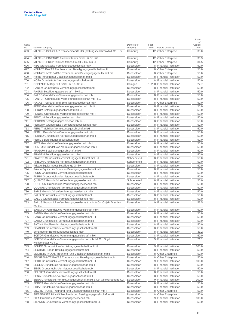| Serial<br>No. | Name of company                                                                                      | Domicile of<br>company     | Foot-<br>note | Nature of activity                                           | of<br>Capital<br>in $%$ |
|---------------|------------------------------------------------------------------------------------------------------|----------------------------|---------------|--------------------------------------------------------------|-------------------------|
| 693           | MT "KING DOUGLAS" Tankschiffahrts UG (haftungsbeschränkt) & Co. KG                                   | Hamburg                    |               | 12 Other Enterprise                                          | 33.0                    |
| 694           | i.L.<br>MT "KING EDWARD" Tankschiffahrts GmbH & Co. KG                                               | Hamburg                    | 12            | <b>Other Enterprise</b>                                      | 35.3                    |
| 695           | MT "KING ERIC" Tankschiffahrts GmbH & Co. KG i.l.                                                    | Hamburg                    | 12            | <b>Other Enterprise</b>                                      | 34.5                    |
| 696           | NBG Grundstücks-Vermietungsgesellschaft mbH                                                          | Duesseldorf                | 8             | <b>Financial Institution</b>                                 | 50 <sub>c</sub>         |
| 697           | NEUNTE PAXAS Treuhand- und Beteiligungsgesellschaft mbH                                              | Duesseldorf                | 8             | Other Enterprise                                             | 50.0                    |
| 698           | NEUNZEHNTE PAXAS Treuhand- und Beteiligungsgesellschaft mbH                                          | Duesseldorf                | 8             | <b>Other Enterprise</b>                                      | 50.0                    |
| 699           | Nexus Infrastruktur Beteiligungsgesellschaft mbH                                                     | Duesseldorf                | 8             | <b>Financial Institution</b>                                 | 50 <sub>c</sub>         |
| 700           | NOFA Grundstücks-Vermietungsgesellschaft mbH                                                         | Duesseldorf                | 8             | <b>Financial Institution</b>                                 | 50.0                    |
| 701           | OPPENHEIM Buy Out GmbH & Co. KG i.L.                                                                 | Cologne                    | 1, 2, 8       | <b>Financial Institution</b>                                 | 27.7                    |
| 702           | PADEM Grundstücks-Vermietungsgesellschaft mbH                                                        | Duesseldorf                | 8             | <b>Financial Institution</b>                                 | 50.0                    |
| 703<br>704    | PAGUS Beteiligungsgesellschaft mbH i.L.                                                              | Duesseldorf                | 8<br>8        | <b>Financial Institution</b><br><b>Financial Institution</b> | 50.0<br>50.0            |
| 705           | PALDO Grundstücks-Vermietungsgesellschaft mbH<br>PANTUR Grundstücks-Vermietungsgesellschaft mbH i.L. | Duesseldorf<br>Duesseldorf | 8             | <b>Financial Institution</b>                                 | 50.0                    |
| 706           | PAXAS Treuhand- und Beteiligungsgesellschaft mbH                                                     | Duesseldorf                | 8             | <b>Other Enterprise</b>                                      | 50.0                    |
| 707           | PEDIS Grundstücks-Vermietungsgesellschaft mbH i.L.                                                   | Duesseldorf                | 8             | <b>Financial Institution</b>                                 | 50.0                    |
| 708           | PEDUM Beteiligungsgesellschaft mbH i.L.                                                              | Duesseldorf                | 8             | <b>Financial Institution</b>                                 | 50.0                    |
| 709           | PENDIS Grundstücks-Vermietungsgesellschaft mbH                                                       | Duesseldorf                | 8             | <b>Financial Institution</b>                                 | 50 <sub>c</sub>         |
| 710           | PENTUM Beteiligungsgesellschaft mbH                                                                  | Duesseldorf                | 8             | <b>Financial Institution</b>                                 | 50.0                    |
| 711           | PERGOS Beteiligungsgesellschaft mbH i.L.                                                             | Duesseldorf                | 8             | <b>Financial Institution</b>                                 | 50.0                    |
| 712           | PERGUM Grundstücks-Vermietungsgesellschaft mbH                                                       | Duesseldorf                | 8             | <b>Financial Institution</b>                                 | 50 <sub>c</sub>         |
| 713           | PERLIT Mobilien-Vermietungsgesellschaft mbH                                                          | Duesseldorf                | 8             | <b>Financial Institution</b>                                 | 50.0                    |
| 714           | PERLU Grundstücks-Vermietungsgesellschaft mbH                                                        | Duesseldorf                | 8             | <b>Financial Institution</b>                                 | 50.0                    |
| 715           | PERNIO Grundstücks-Vermietungsgesellschaft mbH                                                       | Duesseldorf                | 8             | <b>Financial Institution</b>                                 | 50.0                    |
| 716           | PERXIS Beteiligungsgesellschaft mbH                                                                  | Duesseldorf                | 8             | <b>Financial Institution</b>                                 | 50.0                    |
| 717           | PETA Grundstücks-Vermietungsgesellschaft mbH                                                         | Duesseldorf                | 8             | <b>Financial Institution</b>                                 | 50 <sub>c</sub>         |
| 718           | PONTUS Grundstücks-Vermietungsgesellschaft mbH                                                       | Duesseldorf                | 8             | <b>Financial Institution</b>                                 | 50.0                    |
| 719           | PRADUM Beteiligungsgesellschaft mbH                                                                  | Duesseldorf                | 8             | <b>Financial Institution</b>                                 | 50.0                    |
| 720           | PRASEM Beteiligungsgesellschaft mbH                                                                  | Duesseldorf                | 8             | <b>Financial Institution</b>                                 | 50.0                    |
| 721           | PRATES Grundstücks-Vermietungsgesellschaft mbH i.L.                                                  | Schoenefeld                | 8             | <b>Financial Institution</b>                                 | 50.0                    |
| 722           | PRISON Grundstücks-Vermietungsgesellschaft mbH                                                       | Schoenefeld                | 8             | <b>Financial Institution</b>                                 | 50.0                    |
| 723           | Private Equity Invest Beteiligungs GmbH                                                              | Duesseldorf                | 8             | <b>Financial Institution</b>                                 | 50.0                    |
| 724           | Private Equity Life Sciences Beteiligungsgesellschaft mbH                                            | Duesseldorf                | 8             | <b>Financial Institution</b>                                 | 50.0                    |
| 725           | PUDU Grundstücks-Vermietungsgesellschaft mbH                                                         | Duesseldorf                | 8             | <b>Financial Institution</b>                                 | 50.0                    |
| 726<br>727    | PURIM Grundstücks-Vermietungsgesellschaft mbH<br>QUANTIS Grundstücks-Vermietungsgesellschaft mbH     | Duesseldorf<br>Schoenefeld | 8<br>8        | <b>Financial Institution</b><br><b>Financial Institution</b> | 50.0<br>50.0            |
| 728           | QUELLUM Grundstücks-Vermietungsgesellschaft mbH                                                      | Duesseldorf                | 8             | <b>Financial Institution</b>                                 | 50.0                    |
| 729           | QUOTAS Grundstücks-Vermietungsgesellschaft mbH                                                       | Duesseldorf                | 8             | <b>Financial Institution</b>                                 | 50.0                    |
| 730           | SABIS Grundstücks-Vermietungsgesellschaft mbH                                                        | Duesseldorf                | 8             | <b>Financial Institution</b>                                 | 50 <sub>c</sub>         |
| 731           | SALIX Grundstücks-Vermietungsgesellschaft mbH                                                        | Duesseldorf                | 8             | <b>Financial Institution</b>                                 | 50.0                    |
| 732           | SALUS Grundstücks-Vermietungsgesellschaft mbH                                                        | Duesseldorf                |               | 8 Financial Institution                                      | 50.0                    |
| 733           | SALUS Grundstücks-Vermietungsgesellschaft mbH & Co. Objekt Dresden<br>KG i.L.                        | Duesseldorf                |               | 9 Financial Institution                                      | 58.5                    |
| 734           | SANCTOR Grundstücks-Vermietungsgesellschaft mbH                                                      | Duesseldorf                | 8             | <b>Financial Institution</b>                                 | 50.0                    |
| 735           | SANDIX Grundstucks-Vermietungsgesellschaft mbH                                                       | Duesseldorf                | ୪             | <b>Financial Institution</b>                                 | 50.0                    |
| 736           | SANO Grundstücks-Vermietungsgesellschaft mbH i.L.                                                    | Duesseldorf                | 8             | <b>Financial Institution</b>                                 | 50.0                    |
| 737           | SARIO Grundstücks-Vermietungsgesellschaft mbH                                                        | Duesseldorf                | 8             | <b>Financial Institution</b>                                 | 50.C                    |
| 738           | SATINA Mobilien-Vermietungsgesellschaft mbH i.L.                                                     | Duesseldorf                | 8             | <b>Financial Institution</b>                                 | 50.0                    |
| 739           | SCANDO Grundstücks-Vermietungsgesellschaft mbH                                                       | Duesseldorf                | 8             | <b>Financial Institution</b>                                 | 50.0                    |
| 740           | Schumacher Beteiligungsgesellschaft mbH                                                              | Duesseldorf                | 8             | <b>Financial Institution</b>                                 | 33.2                    |
| 741           | SCITOR Grundstücks-Vermietungsgesellschaft mbH                                                       | Duesseldorf                | 8             | <b>Financial Institution</b>                                 | 50.C                    |
| 742           | SCITOR Grundstücks-Vermietungsgesellschaft mbH & Co. Objekt<br>Heiligenstadt KG i.L.                 | Duesseldorf                |               | 9 Financial Institution                                      | 71.1                    |
| 743           | SCUDO Grundstücks-Vermietungsgesellschaft mbH i.L.                                                   | Duesseldorf                | 9             | <b>Financial Institution</b>                                 | 100.0                   |
| 744           | SECHSTE Fonds-Beteiligungsgesellschaft mbH                                                           | Duesseldorf                | 8             | Financial Institution                                        | 50.0                    |
| 745           | SECHSTE PAXAS Treuhand- und Beteiligungsgesellschaft mbH                                             | Duesseldorf                | 8             | <b>Other Enterprise</b>                                      | 50.0                    |
| 746           | SECHZEHNTE PAXAS Treuhand- und Beteiligungsgesellschaft mbH                                          | Duesseldorf                | 8             | <b>Other Enterprise</b>                                      | 50.C                    |
| 747           | SEDO Grundstücks-Vermietungsgesellschaft mbH i.L.                                                    | Duesseldorf                | 9             | <b>Financial Institution</b>                                 | 100.C                   |
| 748           | SEGES Grundstücks-Vermietungsgesellschaft mbH                                                        | Duesseldorf                | 8             | <b>Financial Institution</b>                                 | 50.0                    |
| 749           | SEGU Grundstücks-Vermietungsgesellschaft mbH                                                         | Duesseldorf                | 8             | <b>Financial Institution</b>                                 | 50.C                    |
| 750           | SELEKTA Grundstücksverwaltungsgesellschaft mbH                                                       | Duesseldorf                | 8             | <b>Financial Institution</b>                                 | 50.0                    |
| 751           | SENA Grundstücks-Vermietungsgesellschaft mbH                                                         | Duesseldorf                | 8             | <b>Financial Institution</b>                                 | 50.0                    |
| 752           | SENA Grundstücks-Vermietungsgesellschaft mbH & Co. Objekt Kamenz KG                                  | Duesseldorf                | 7, 9          | <b>Financial Institution</b>                                 | 100.C                   |
| 753           | SERICA Grundstücks-Vermietungsgesellschaft mbH                                                       | Duesseldorf                | 8             | <b>Financial Institution</b>                                 | 50.0                    |
| 754           | SIDA Grundstücks-Vermietungsgesellschaft mbH                                                         | Duesseldorf                | 8             | <b>Financial Institution</b>                                 | 50.0                    |
| 755           | SIEBTE PAXAS Treuhand- und Beteiligungsgesellschaft mbH                                              | Duesseldorf                | 8             | <b>Other Enterprise</b>                                      | 50.0                    |
| 756           | SIEBZEHNTE PAXAS Treuhand- und Beteiligungsgesellschaft mbH                                          | Duesseldorf                | 8             | <b>Other Enterprise</b>                                      | 50.0                    |
| 757           | SIFA Grundstücks-Vermietungsgesellschaft mbH                                                         | Duesseldorf                | 9             | <b>Financial Institution</b>                                 | 100.0                   |
| 758           | SILANUS Grundstücks-Vermietungsgesellschaft mbH i.L                                                  | Duesseldorf                |               | 8 Financial Institution                                      | 50.0                    |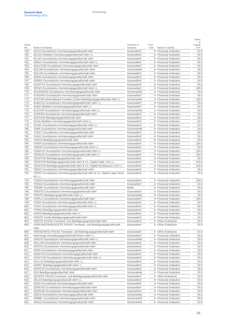| Serial     |                                                                                                      | Domicile of                | Foot-      |                                                              | οf<br>Capital |
|------------|------------------------------------------------------------------------------------------------------|----------------------------|------------|--------------------------------------------------------------|---------------|
| No.<br>759 | Name of company<br>SILEX Grundstücks-Vermietungsgesellschaft mbH                                     | company<br>Duesseldorf     | note<br>8  | Nature of activity<br><b>Financial Institution</b>           | in %<br>50.0  |
| 760        | SILIGO Mobilien-Vermietungsgesellschaft mbH i.L.                                                     | Duesseldorf                | 8          | <b>Financial Institution</b>                                 | 50.0          |
| 761        | SILUR Grundstücks-Vermietungsgesellschaft mbH                                                        | Duesseldorf                | 8          | <b>Financial Institution</b>                                 | 50.0          |
| 762        | SIMILA Grundstücks-Vermietungsgesellschaft mbH i.L.                                                  | Duesseldorf                | 8          | <b>Financial Institution</b>                                 | 50.0          |
| 763        | SOLATOR Grundstücks-Vermietungsgesellschaft mbH                                                      | Duesseldorf                | 8          | <b>Financial Institution</b>                                 | 50.0          |
| 764        | SOLON Grundstücks-Vermietungsgesellschaft mbH                                                        | Schoenefeld                | 8          | <b>Financial Institution</b>                                 | 50.0          |
| 765        | SOLUM Grundstücks-Vermietungsgesellschaft mbH                                                        | Duesseldorf                | 8          | <b>Financial Institution</b>                                 | 50.0          |
| 766        | SOMA Grundstücks-Vermietungsgesellschaft mbH                                                         | Duesseldorf                | 8          | <b>Financial Institution</b>                                 | 50.0          |
| 767        | SOREX Grundstücks-Vermietungsgesellschaft mbH                                                        | Duesseldorf                | 8          | <b>Financial Institution</b>                                 | 50.0          |
| 768        | SOSPITA Grundstücks-Vermietungsgesellschaft mbH                                                      | Duesseldorf                | 8          | <b>Financial Institution</b>                                 | 50.0          |
| 769        | SPINO Grundstücks-Vermietungsgesellschaft mbH i.L                                                    | Duesseldorf                | $\hbox{9}$ | <b>Financial Institution</b>                                 | 100.0         |
| 770        | SPLENDOR Grundstücks-Vermietungsgesellschaft mbH                                                     | Schoenefeld                | 8          | <b>Financial Institution</b>                                 | 50.0          |
| 771        | STAGIRA Grundstücks-Vermietungsgesellschaft mbH                                                      | Duesseldorf                | 8          | <b>Financial Institution</b>                                 | 50.0          |
| 772        | STATOR Heizkraftwerk Frankfurt (Oder) Beteiligungsgesellschaft mbH i.L                               | Schoenefeld                | $\hbox{9}$ | <b>Financial Institution</b>                                 | 100.0         |
| 773        | SUBLICA Grundstücks-Vermietungsgesellschaft mbH i.L.                                                 | Duesseldorf                | 8          | <b>Financial Institution</b>                                 | 50.0          |
| 774        | SUBU Mobilien-Vermietungsgesellschaft mbH i.L.                                                       | Duesseldorf                | 8          | <b>Financial Institution</b>                                 | 50.0          |
| 775        | SULPUR Grundstücks-Vermietungsgesellschaft mbH i.L.                                                  | Schoenefeld                | 8          | <b>Financial Institution</b>                                 | 50.0          |
| 776        | SUPERA Grundstücks-Vermietungsgesellschaft mbH                                                       | Duesseldorf                | 8          | <b>Financial Institution</b>                                 | 50.0          |
| 777        | SUPLION Beteiligungsgesellschaft mbH                                                                 | Duesseldorf                | 8          | <b>Financial Institution</b>                                 | 50.0          |
| 778        | SUSA Mobilien-Vermietungsgesellschaft mbH i.L.<br>SUSIK Grundstücks-Vermietungsgesellschaft mbH i.L. | Duesseldorf                | 8<br>8     | <b>Financial Institution</b>                                 | 50.0          |
| 779<br>780 | TABA Grundstücks-Vermietungsgesellschaft mbH                                                         | Duesseldorf<br>Schoenefeld | 8          | <b>Financial Institution</b><br><b>Financial Institution</b> | 50.0<br>50.0  |
| 781        | TACET Grundstücks-Vermietungsgesellschaft mbH                                                        | Duesseldorf                | 8          | <b>Financial Institution</b>                                 | 50.0          |
| 782        | TAGO Grundstücks-Vermietungsgesellschaft mbH                                                         | Duesseldorf                | 8          | <b>Financial Institution</b>                                 | 50.0          |
| 783        | TAGUS Beteiligungsgesellschaft mbH                                                                   | Duesseldorf                | 8          | <b>Financial Institution</b>                                 | 50.0          |
| 784        | TAKIR Grundstücks-Vermietungsgesellschaft mbH                                                        | Duesseldorf                | $\hbox{9}$ | <b>Financial Institution</b>                                 | 100.0         |
| 785        | TEBOR Grundstücks-Vermietungsgesellschaft mbH i.L.                                                   | Duesseldorf                | 8          | <b>Financial Institution</b>                                 | 50.0          |
| 786        | TEMATIS Grundstücks-Vermietungsgesellschaft mbH i.L.                                                 | Duesseldorf                | $\hbox{9}$ | <b>Financial Institution</b>                                 | 100.0         |
| 787        | TERRUS Grundstücks-Vermietungsgesellschaft mbH i.L.                                                  | Duesseldorf                | 9          | <b>Financial Institution</b>                                 | 100.0         |
| 788        | TESATUR Beteiligungsgesellschaft mbH                                                                 | Duesseldorf                | 8          | <b>Financial Institution</b>                                 | 50.0          |
| 789        | TESATUR Beteiligungsgesellschaft mbH & Co. Objekt Halle I KG i.L.                                    | Duesseldorf                | $\hbox{9}$ | <b>Financial Institution</b>                                 | 100.0         |
| 790        | TESATUR Beteiligungsgesellschaft mbH & Co. Objekt Nordhausen I KG i.L.                               | Duesseldorf                | $\hbox{9}$ | <b>Financial Institution</b>                                 | 100.0         |
| 791        | TIEDO Grundstücks-Vermietungsgesellschaft mbH                                                        | Duesseldorf                | 8          | <b>Financial Institution</b>                                 | 50.0          |
| 792        | TIEDO Grundstücks-Vermietungsgesellschaft mbH & Co. Objekt Lager Nord                                | Duesseldorf                |            | 8 Financial Institution                                      | 25.0          |
|            | KG i.L.                                                                                              |                            |            |                                                              |               |
| 793        | TOSSA Grundstücks-Vermietungsgesellschaft mbH                                                        | Duesseldorf                | $\hbox{9}$ | <b>Financial Institution</b>                                 | 100.0         |
| 794        | TRAGO Grundstücks-Vermietungsgesellschaft mbH                                                        | Duesseldorf                | 8          | <b>Financial Institution</b>                                 | 50.0          |
| 795        | TREMA Grundstücks-Vermietungsgesellschaft mbH                                                        | <b>Berlin</b>              | 8          | <b>Financial Institution</b>                                 | 50.0          |
| 796        | TRENTO Grundstücks-Vermietungsgesellschaft mbH                                                       | Duesseldorf                | 8          | <b>Financial Institution</b>                                 | 50.0          |
| 797        | TRINTO Beteiligungsgesellschaft mbH i.L.                                                             | Schoenefeld                | 8          | <b>Financial Institution</b>                                 | 50.0          |
| 798        | TRIPLA Grundstücks-Vermietungsgesellschaft mbH                                                       | Duesseldorf                | $\hbox{9}$ | <b>Financial Institution</b>                                 | 100.0         |
| 799        | TUDO Grundstücks-Vermietungsgesellschaft mbH i.L.                                                    | Duesseldorf                | 8          | <b>Financial Institution</b>                                 | 50.0          |
| 800        | TUGA Grundstücks-Vermietungsgesellschaft mbH i.L.                                                    | Duesseldorf                | 8          | <b>Financial Institution</b>                                 | 50.0          |
| 801        | TYRAS Beteiligungsgesellschaft mbH                                                                   | Duesseldorf                | 8          | <b>Financial Institution</b>                                 | 50.0          |
| 802        | VARIS Beteiligungsgesellschaft mbH i.L.                                                              | Duesseldorf                | 8          | <b>Financial Institution</b>                                 | 50.0          |
| 803        | VIERTE Fonds-Beteiligungsgesellschaft mbH                                                            | Duesseldorf                |            | 8 Financial Institution                                      | 50.0          |
| 804        | VIERTE PAXAS Treuhand- und Beteiligungsgesellschaft mbH                                              | Duesseldorf                | 8          | <b>Other Enterprise</b>                                      | 50.0          |
| 805        | VIERUNDZWANZIGSTE PAXAS Treuhand- und Beteiligungsgesellschaft                                       | Duesseldorf                | 8          | Other Enterprise                                             | 50.0          |
|            | mbH<br>VIERZEHNTE PAXAS Treuhand- und Beteiligungsgesellschaft mbH                                   | Duesseldorf                | 8          | <b>Other Enterprise</b>                                      | 50.0          |
| 806        | Wohnungs-Verwaltungsgesellschaft Moers mbH i.L.                                                      | Duesseldorf                | 8          | <b>Financial Institution</b>                                 | 50.0          |
| 807<br>808 | XARUS Grundstücks-Vermietungsgesellschaft mbH i.L.                                                   | Schoenefeld                | 8          | <b>Financial Institution</b>                                 | 50.0          |
| 809        | XELLUM Grundstücks-Vermietungsgesellschaft mbH                                                       | Duesseldorf                | 8          | <b>Financial Institution</b>                                 | 50.0          |
| 810        | XENTIS Grundstücks-Vermietungsgesellschaft mbH                                                       | Duesseldorf                | 8          | <b>Financial Institution</b>                                 | 50.0          |
| 811        | XERA Grundstücks-Vermietungsgesellschaft mbH                                                         | Duesseldorf                | 8          | Financial Institution                                        | 50.0          |
| 812        | ZABATUS Grundstücks-Vermietungsgesellschaft mbH                                                      | Duesseldorf                | 8          | <b>Financial Institution</b>                                 | 50.0          |
| 813        | ZAKATUR Grundstücks-Vermietungsgesellschaft mbH i.L.                                                 | Duesseldorf                | 8          | Financial Institution                                        | 50.0          |
| 814        | ZALLUS Beteiligungsgesellschaft mbH i.L.                                                             | Duesseldorf                | 8          | Financial Institution                                        | 50.0          |
| 815        | ZARAT Beteiligungsgesellschaft mbH i.L.                                                              | Duesseldorf                | 8          | <b>Financial Institution</b>                                 | 50.0          |
| 816        | ZARGUS Grundstücks-Vermietungsgesellschaft mbH                                                       | Duesseldorf                | 8          | <b>Financial Institution</b>                                 | 50.0          |
| 817        | ZEA Beteiligungsgesellschaft mbH                                                                     | Schoenefeld                | 8          | <b>Financial Institution</b>                                 | 25.0          |
| 818        | ZEHNTE PAXAS Treuhand- und Beteiligungsgesellschaft mbH                                              | Duesseldorf                | 8          | Other Enterprise                                             | 50.0          |
| 819        | ZELAS Beteiligungsgesellschaft mbH i.L                                                               | Duesseldorf                | 8          | <b>Financial Institution</b>                                 | 50.0          |
| 820        | ZENO Grundstücks-Vermietungsgesellschaft mbH                                                         | Duesseldorf                | 8          | <b>Financial Institution</b>                                 | 50.0          |
| 821        | ZEREVIS Grundstücks-Vermietungsgesellschaft mbH                                                      | Duesseldorf                | 8          | <b>Financial Institution</b>                                 | 50.0          |
| 822        | ZERGUM Grundstücks-Vermietungsgesellschaft mbH                                                       | Duesseldorf                | 8          | Financial Institution                                        | 50.0          |
| 823        | ZIDES Grundstücks-Vermietungsgesellschaft mbH                                                        | Schoenefeld                | 8          | <b>Financial Institution</b>                                 | 50.0          |
| 824        | ZIMBEL Grundstücks-Vermietungsgesellschaft mbH                                                       | Schoenefeld                | 8          | <b>Financial Institution</b>                                 | 50.0          |
| 825        | ZINUS Grundstücks-Vermietungsgesellschaft mbH                                                        | Schoenefeld                |            | 8 Financial Institution                                      | 50.0          |